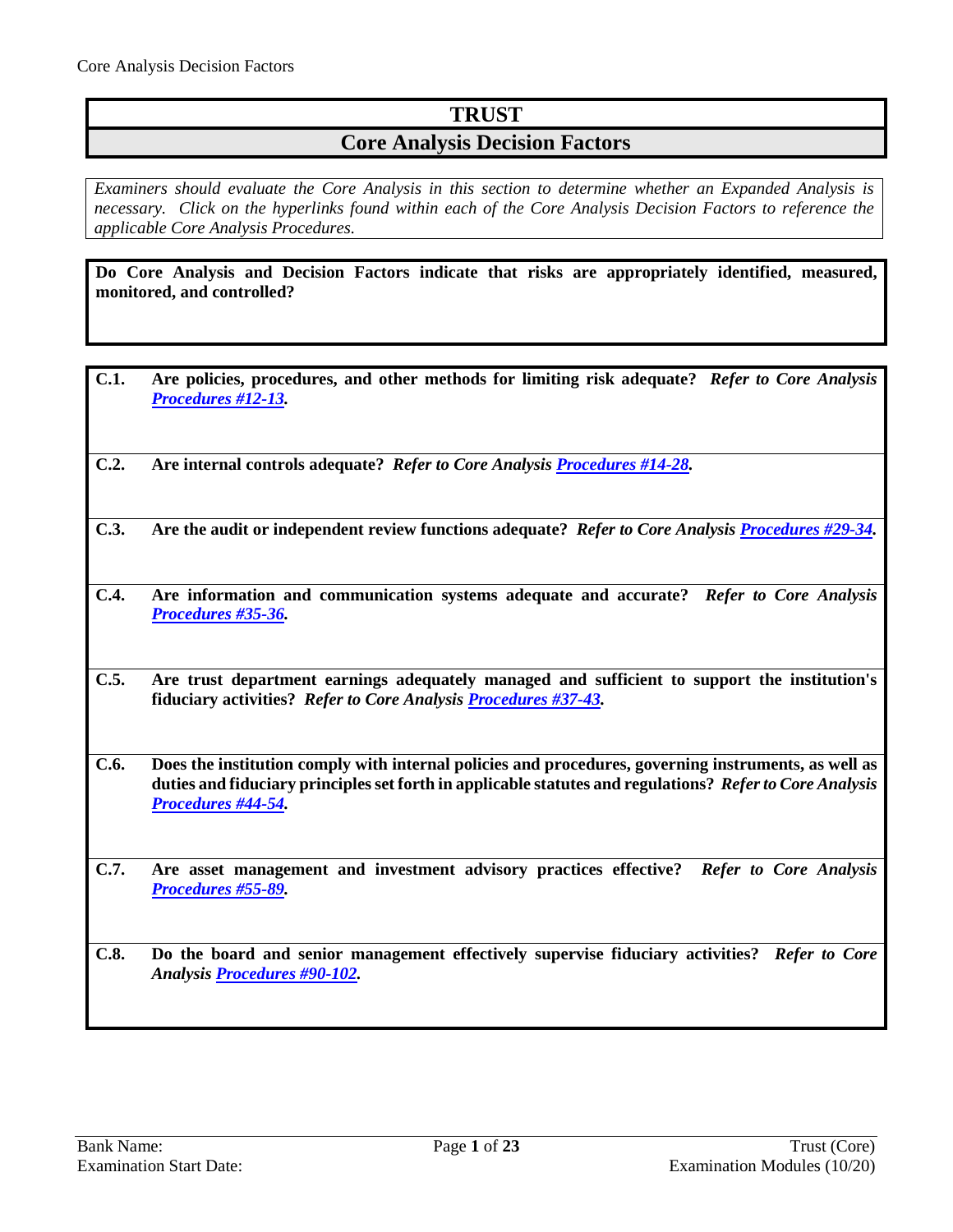# **TRUST**

## **Core Analysis Decision Factors**

*Examiners should evaluate the Core Analysis in this section to determine whether an Expanded Analysis is necessary. Click on the hyperlinks found within each of the Core Analysis Decision Factors to reference the applicable Core Analysis Procedures.*

**Do Core Analysis and Decision Factors indicate that risks are appropriately identified, measured, monitored, and controlled?**

- **C.1. Are policies, procedures, and other methods for limiting risk adequate?** *Refer to Core Analysis [Procedures #12-13.](#page-3-0)*
- **C.2. Are internal controls adequate?** *Refer to Core Analysis [Procedures #14-28.](#page-4-0)*
- **C.3. Are the audit or independent review functions adequate?** *Refer to Core Analysis [Procedures #29-34.](#page-7-0)*
- **C.4. Are information and communication systems adequate and accurate?** *Refer to Core Analysis [Procedures #35-36.](#page-9-0)*
- **C.5. Are trust department earnings adequately managed and sufficient to support the institution's fiduciary activities?** *Refer to Core Analysis [Procedures #37-43.](#page-9-1)*
- **C.6. Does the institution comply with internal policies and procedures, governing instruments, as well as duties and fiduciary principlesset forth in applicable statutes and regulations?** *Refer to Core Analysis [Procedures #44-54.](#page-11-0)*
- **C.7. Are asset management and investment advisory practices effective?** *Refer to Core Analysis [Procedures #55-89.](#page-13-0)*
- **C.8. Do the board and senior management effectively supervise fiduciary activities?** *Refer to Core Analysi[s Procedures #90-102.](#page-20-0)*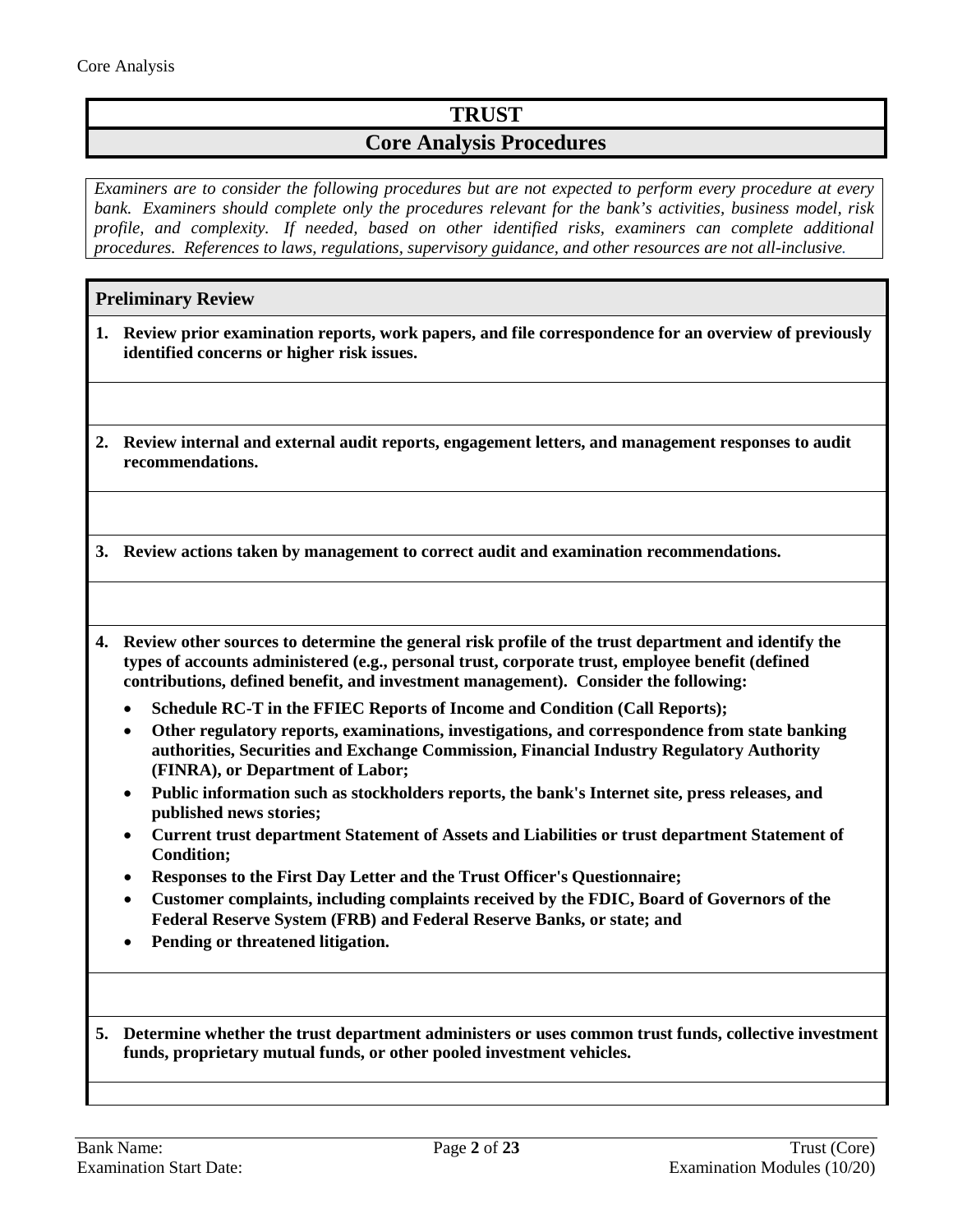# **TRUST**

## **Core Analysis Procedures**

*Examiners are to consider the following procedures but are not expected to perform every procedure at every bank. Examiners should complete only the procedures relevant for the bank's activities, business model, risk profile, and complexity. If needed, based on other identified risks, examiners can complete additional procedures. References to laws, regulations, supervisory guidance, and other resources are not all-inclusive.*

## **Preliminary Review**

- **1. Review prior examination reports, work papers, and file correspondence for an overview of previously identified concerns or higher risk issues.**
- **2. Review internal and external audit reports, engagement letters, and management responses to audit recommendations.**

**3. Review actions taken by management to correct audit and examination recommendations.**

- **4. Review other sources to determine the general risk profile of the trust department and identify the types of accounts administered (e.g., personal trust, corporate trust, employee benefit (defined contributions, defined benefit, and investment management). Consider the following:**
	- **Schedule RC-T in the FFIEC Reports of Income and Condition (Call Reports);**
	- **Other regulatory reports, examinations, investigations, and correspondence from state banking authorities, Securities and Exchange Commission, Financial Industry Regulatory Authority (FINRA), or Department of Labor;**
	- **Public information such as stockholders reports, the bank's Internet site, press releases, and published news stories;**
	- **Current trust department Statement of Assets and Liabilities or trust department Statement of Condition;**
	- **Responses to the First Day Letter and the Trust Officer's Questionnaire;**
	- **Customer complaints, including complaints received by the FDIC, Board of Governors of the Federal Reserve System (FRB) and Federal Reserve Banks, or state; and**
	- **Pending or threatened litigation.**
- **5. Determine whether the trust department administers or uses common trust funds, collective investment funds, proprietary mutual funds, or other pooled investment vehicles.**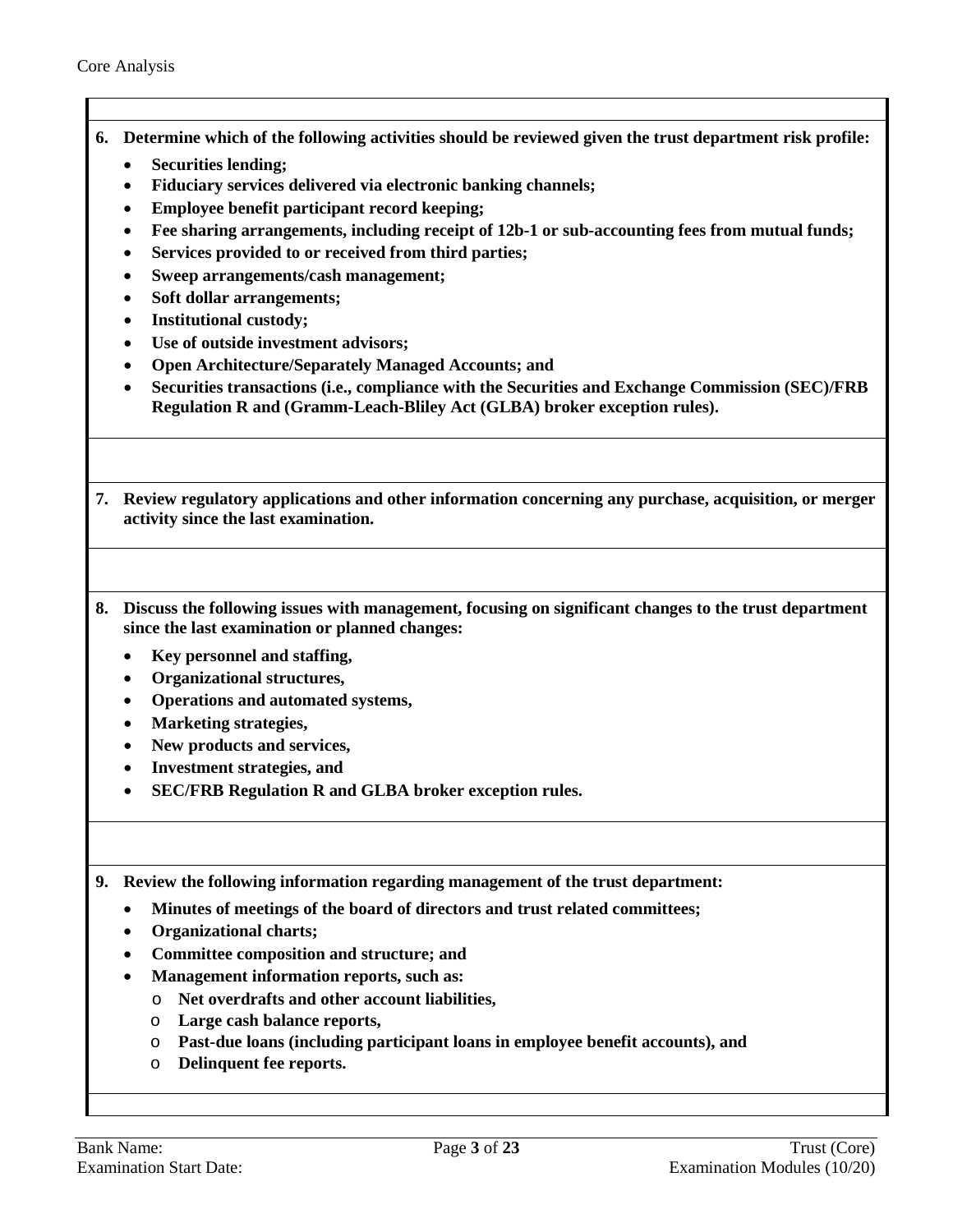- **6. Determine which of the following activities should be reviewed given the trust department risk profile:**
	- **Securities lending;**
	- **Fiduciary services delivered via electronic banking channels;**
	- **Employee benefit participant record keeping;**
	- **Fee sharing arrangements, including receipt of 12b-1 or sub-accounting fees from mutual funds;**
	- **Services provided to or received from third parties;**
	- **Sweep arrangements/cash management;**
	- **Soft dollar arrangements;**
	- **Institutional custody;**
	- **Use of outside investment advisors;**
	- **Open Architecture/Separately Managed Accounts; and**
	- **Securities transactions (i.e., compliance with the Securities and Exchange Commission (SEC)/FRB Regulation R and (Gramm-Leach-Bliley Act (GLBA) broker exception rules).**
- **7. Review regulatory applications and other information concerning any purchase, acquisition, or merger activity since the last examination.**
- **8. Discuss the following issues with management, focusing on significant changes to the trust department since the last examination or planned changes:**
	- **Key personnel and staffing,**
	- **Organizational structures,**
	- **Operations and automated systems,**
	- **Marketing strategies,**
	- **New products and services,**
	- **Investment strategies, and**
	- **SEC/FRB Regulation R and GLBA broker exception rules.**

**9. Review the following information regarding management of the trust department:**

- **Minutes of meetings of the board of directors and trust related committees;**
- **Organizational charts;**
- **Committee composition and structure; and**
- **Management information reports, such as:** 
	- o **Net overdrafts and other account liabilities,**
	- o **Large cash balance reports,**
	- o **Past-due loans (including participant loans in employee benefit accounts), and**
	- o **Delinquent fee reports.**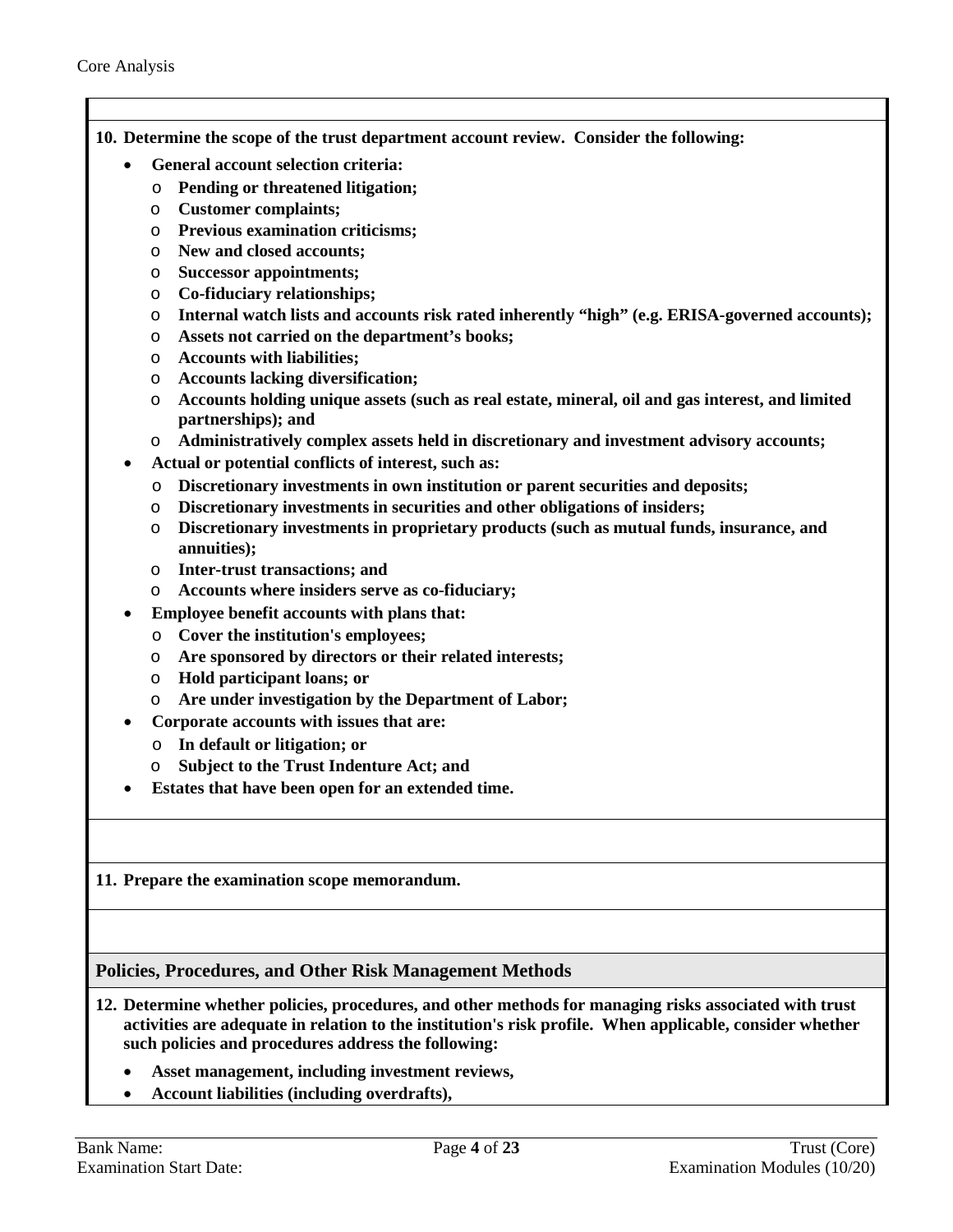- **10. Determine the scope of the trust department account review. Consider the following:** 
	- **General account selection criteria:**
		- o **Pending or threatened litigation;**
		- o **Customer complaints;**
		- o **Previous examination criticisms;**
		- o **New and closed accounts;**
		- o **Successor appointments;**
		- o **Co-fiduciary relationships;**
		- o **Internal watch lists and accounts risk rated inherently "high" (e.g. ERISA-governed accounts);**
		- o **Assets not carried on the department's books;**
		- o **Accounts with liabilities;**
		- o **Accounts lacking diversification;**
		- o **Accounts holding unique assets (such as real estate, mineral, oil and gas interest, and limited partnerships); and**
		- o **Administratively complex assets held in discretionary and investment advisory accounts;**
	- **Actual or potential conflicts of interest, such as:**
		- o **Discretionary investments in own institution or parent securities and deposits;**
		- o **Discretionary investments in securities and other obligations of insiders;**
		- o **Discretionary investments in proprietary products (such as mutual funds, insurance, and annuities);**
		- o **Inter-trust transactions; and**
		- o **Accounts where insiders serve as co-fiduciary;**
		- **Employee benefit accounts with plans that:**
		- o **Cover the institution's employees;**
		- o **Are sponsored by directors or their related interests;**
		- o **Hold participant loans; or**
		- o **Are under investigation by the Department of Labor;**
	- **Corporate accounts with issues that are:**
		- o **In default or litigation; or**
		- o **Subject to the Trust Indenture Act; and**
	- **Estates that have been open for an extended time.**

#### **11. Prepare the examination scope memorandum.**

#### <span id="page-3-0"></span>**Policies, Procedures, and Other Risk Management Methods**

- **12. Determine whether policies, procedures, and other methods for managing risks associated with trust activities are adequate in relation to the institution's risk profile. When applicable, consider whether such policies and procedures address the following:**
	- **Asset management, including investment reviews,**
	- **Account liabilities (including overdrafts),**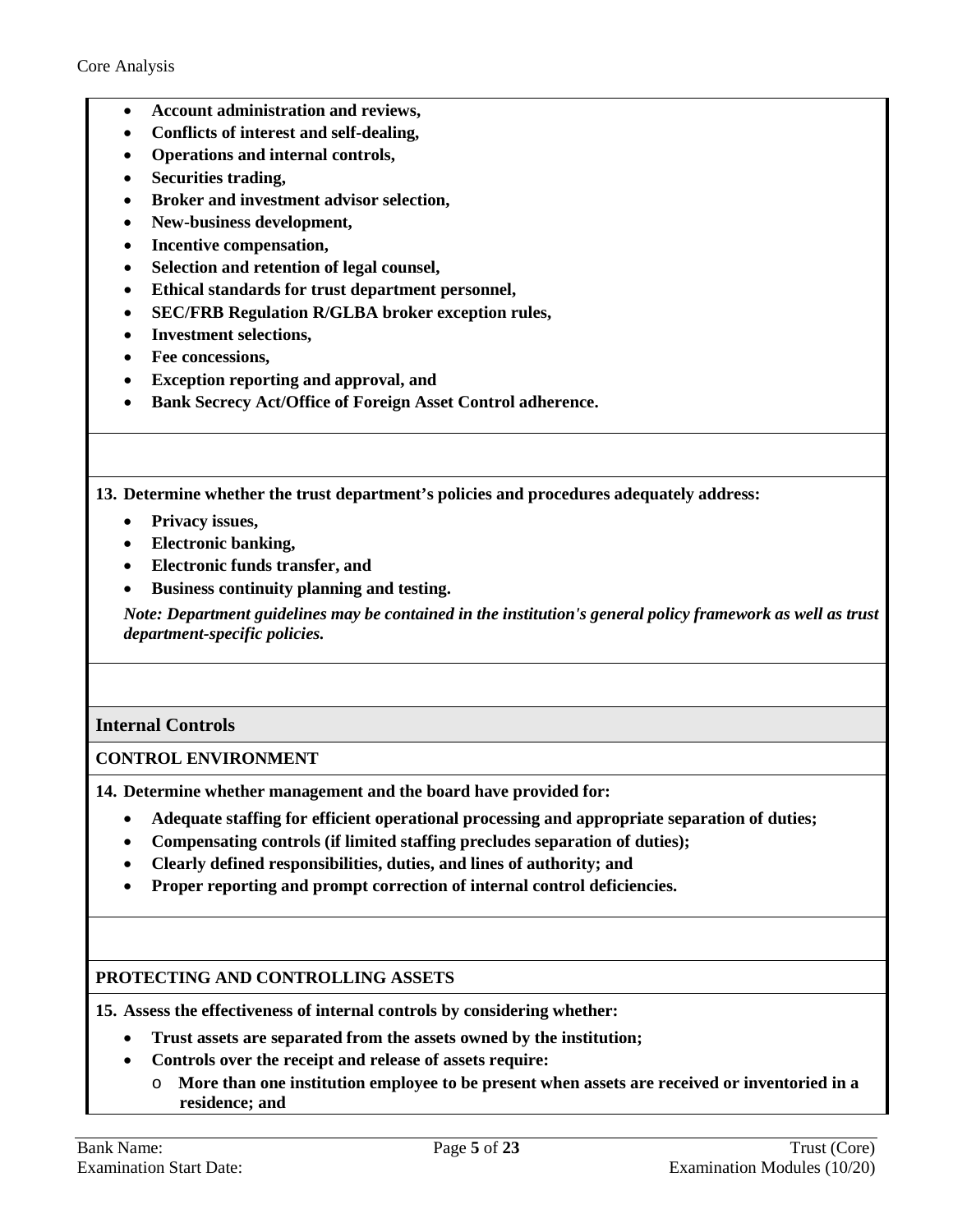- **Account administration and reviews,**
- **Conflicts of interest and self-dealing,**
- **Operations and internal controls,**
- **Securities trading,**
- **Broker and investment advisor selection,**
- **New-business development,**
- **Incentive compensation,**
- **Selection and retention of legal counsel,**
- **Ethical standards for trust department personnel,**
- **SEC/FRB Regulation R/GLBA broker exception rules,**
- **Investment selections,**
- **Fee concessions,**
- **Exception reporting and approval, and**
- **Bank Secrecy Act/Office of Foreign Asset Control adherence.**

**13. Determine whether the trust department's policies and procedures adequately address:** 

- **Privacy issues,**
- **Electronic banking,**
- **Electronic funds transfer, and**
- **Business continuity planning and testing.**

*Note: Department guidelines may be contained in the institution's general policy framework as well as trust department-specific policies.*

## <span id="page-4-0"></span>**Internal Controls**

## **CONTROL ENVIRONMENT**

**14. Determine whether management and the board have provided for:**

- **Adequate staffing for efficient operational processing and appropriate separation of duties;**
- **Compensating controls (if limited staffing precludes separation of duties);**
- **Clearly defined responsibilities, duties, and lines of authority; and**
- **Proper reporting and prompt correction of internal control deficiencies.**

## **PROTECTING AND CONTROLLING ASSETS**

**15. Assess the effectiveness of internal controls by considering whether:** 

- **Trust assets are separated from the assets owned by the institution;**
- **Controls over the receipt and release of assets require:** 
	- o **More than one institution employee to be present when assets are received or inventoried in a residence; and**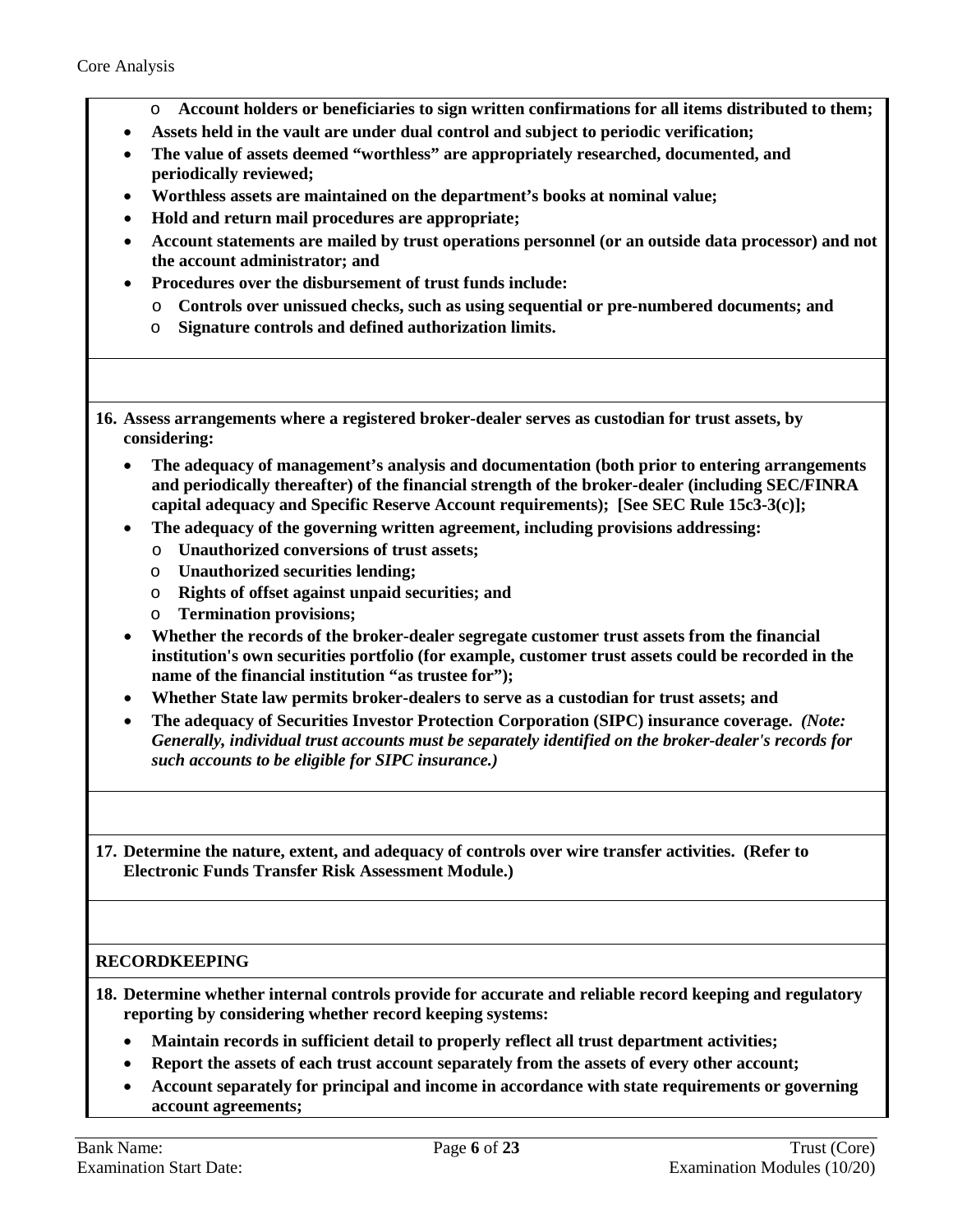- o **Account holders or beneficiaries to sign written confirmations for all items distributed to them;**
- **Assets held in the vault are under dual control and subject to periodic verification;**
- **The value of assets deemed "worthless" are appropriately researched, documented, and periodically reviewed;**
- **Worthless assets are maintained on the department's books at nominal value;**
- **Hold and return mail procedures are appropriate;**
- **Account statements are mailed by trust operations personnel (or an outside data processor) and not the account administrator; and**
- **Procedures over the disbursement of trust funds include:** 
	- o **Controls over unissued checks, such as using sequential or pre-numbered documents; and**
	- o **Signature controls and defined authorization limits.**
- **16. Assess arrangements where a registered broker-dealer serves as custodian for trust assets, by considering:** 
	- **The adequacy of management's analysis and documentation (both prior to entering arrangements and periodically thereafter) of the financial strength of the broker-dealer (including SEC/FINRA capital adequacy and Specific Reserve Account requirements); [See SEC Rule 15c3-3(c)];**
	- **The adequacy of the governing written agreement, including provisions addressing:**
		- o **Unauthorized conversions of trust assets;**
		- o **Unauthorized securities lending;**
		- o **Rights of offset against unpaid securities; and**
		- o **Termination provisions;**
	- **Whether the records of the broker-dealer segregate customer trust assets from the financial institution's own securities portfolio (for example, customer trust assets could be recorded in the name of the financial institution "as trustee for");**
	- **Whether State law permits broker-dealers to serve as a custodian for trust assets; and**
	- **The adequacy of Securities Investor Protection Corporation (SIPC) insurance coverage.** *(Note: Generally, individual trust accounts must be separately identified on the broker-dealer's records for such accounts to be eligible for SIPC insurance.)*

**17. Determine the nature, extent, and adequacy of controls over wire transfer activities. (Refer to Electronic Funds Transfer Risk Assessment Module.)**

## **RECORDKEEPING**

**18. Determine whether internal controls provide for accurate and reliable record keeping and regulatory reporting by considering whether record keeping systems:**

- **Maintain records in sufficient detail to properly reflect all trust department activities;**
- **Report the assets of each trust account separately from the assets of every other account;**
- **Account separately for principal and income in accordance with state requirements or governing account agreements;**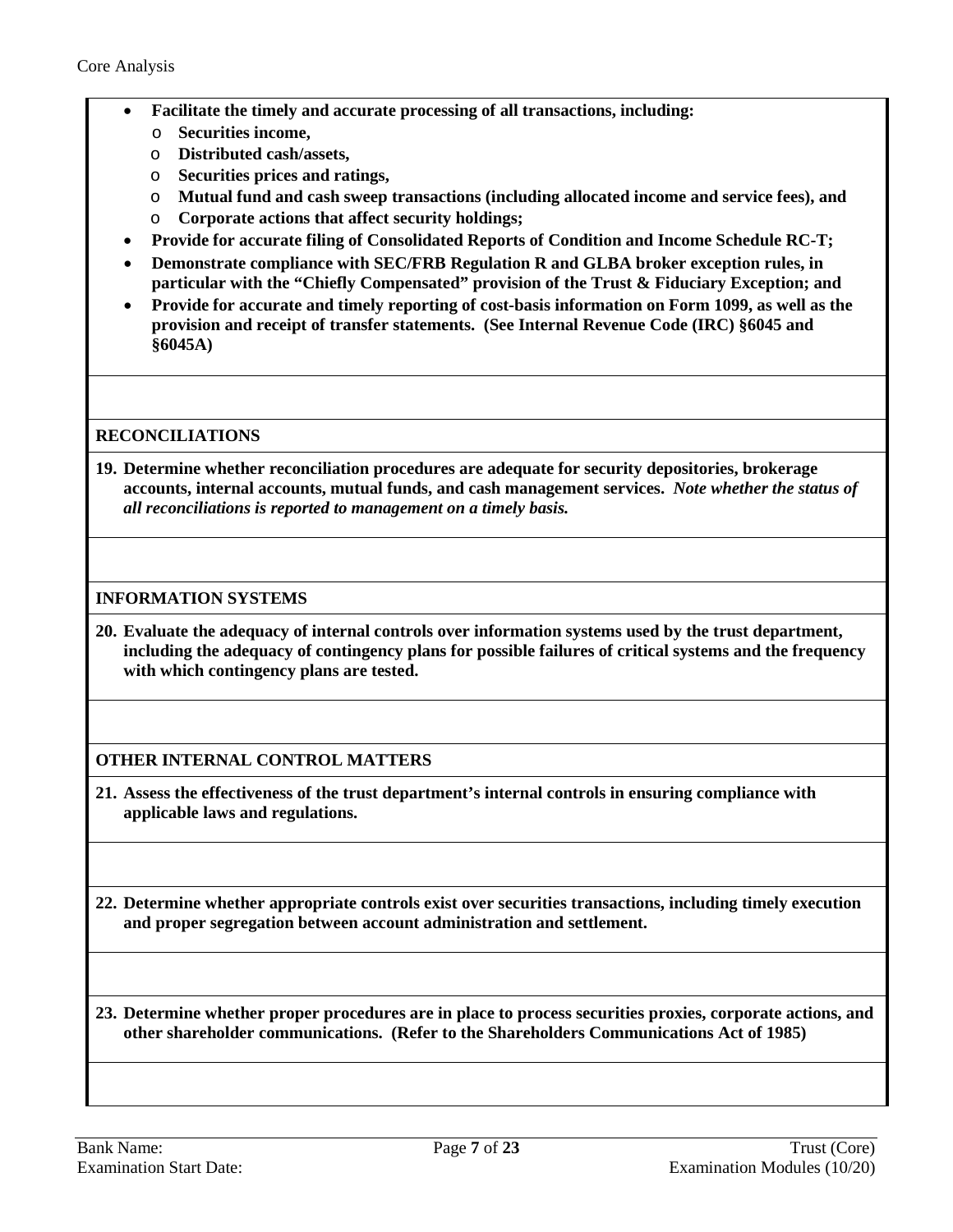- **Facilitate the timely and accurate processing of all transactions, including:**
	- o **Securities income,**
	- o **Distributed cash/assets,**
	- o **Securities prices and ratings,**
	- o **Mutual fund and cash sweep transactions (including allocated income and service fees), and**
	- o **Corporate actions that affect security holdings;**
- **Provide for accurate filing of Consolidated Reports of Condition and Income Schedule RC-T;**
- **Demonstrate compliance with SEC/FRB Regulation R and GLBA broker exception rules, in particular with the "Chiefly Compensated" provision of the Trust & Fiduciary Exception; and**
- **Provide for accurate and timely reporting of cost-basis information on Form 1099, as well as the provision and receipt of transfer statements. (See Internal Revenue Code (IRC) §6045 and §6045A)**

## **RECONCILIATIONS**

**19. Determine whether reconciliation procedures are adequate for security depositories, brokerage accounts, internal accounts, mutual funds, and cash management services.** *Note whether the status of all reconciliations is reported to management on a timely basis.*

#### **INFORMATION SYSTEMS**

**20. Evaluate the adequacy of internal controls over information systems used by the trust department, including the adequacy of contingency plans for possible failures of critical systems and the frequency with which contingency plans are tested.**

## **OTHER INTERNAL CONTROL MATTERS**

**21. Assess the effectiveness of the trust department's internal controls in ensuring compliance with applicable laws and regulations.**

**22. Determine whether appropriate controls exist over securities transactions, including timely execution and proper segregation between account administration and settlement.**

**23. Determine whether proper procedures are in place to process securities proxies, corporate actions, and other shareholder communications. (Refer to the Shareholders Communications Act of 1985)**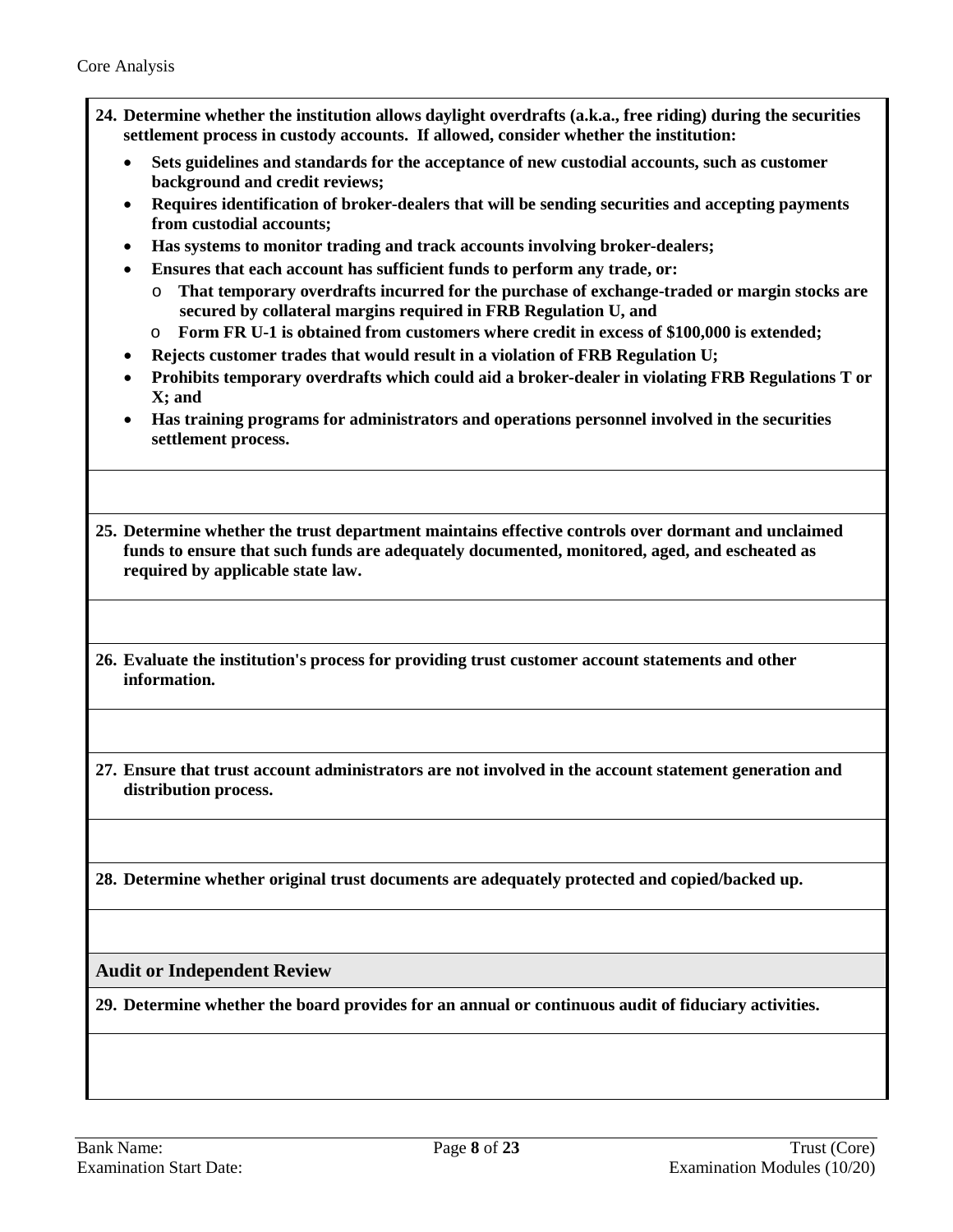- **24. Determine whether the institution allows daylight overdrafts (a.k.a., free riding) during the securities settlement process in custody accounts. If allowed, consider whether the institution:**
	- **Sets guidelines and standards for the acceptance of new custodial accounts, such as customer background and credit reviews;**
	- **Requires identification of broker-dealers that will be sending securities and accepting payments from custodial accounts;**
	- **Has systems to monitor trading and track accounts involving broker-dealers;**
	- **Ensures that each account has sufficient funds to perform any trade, or:**
		- o **That temporary overdrafts incurred for the purchase of exchange-traded or margin stocks are secured by collateral margins required in FRB Regulation U, and**
		- o **Form FR U-1 is obtained from customers where credit in excess of \$100,000 is extended;**
	- **Rejects customer trades that would result in a violation of FRB Regulation U;**
	- **Prohibits temporary overdrafts which could aid a broker-dealer in violating FRB Regulations T or X; and**
	- **Has training programs for administrators and operations personnel involved in the securities settlement process.**

**25. Determine whether the trust department maintains effective controls over dormant and unclaimed funds to ensure that such funds are adequately documented, monitored, aged, and escheated as required by applicable state law.**

**26. Evaluate the institution's process for providing trust customer account statements and other information.**

**27. Ensure that trust account administrators are not involved in the account statement generation and distribution process.**

**28. Determine whether original trust documents are adequately protected and copied/backed up.**

<span id="page-7-0"></span>**Audit or Independent Review**

**29. Determine whether the board provides for an annual or continuous audit of fiduciary activities.**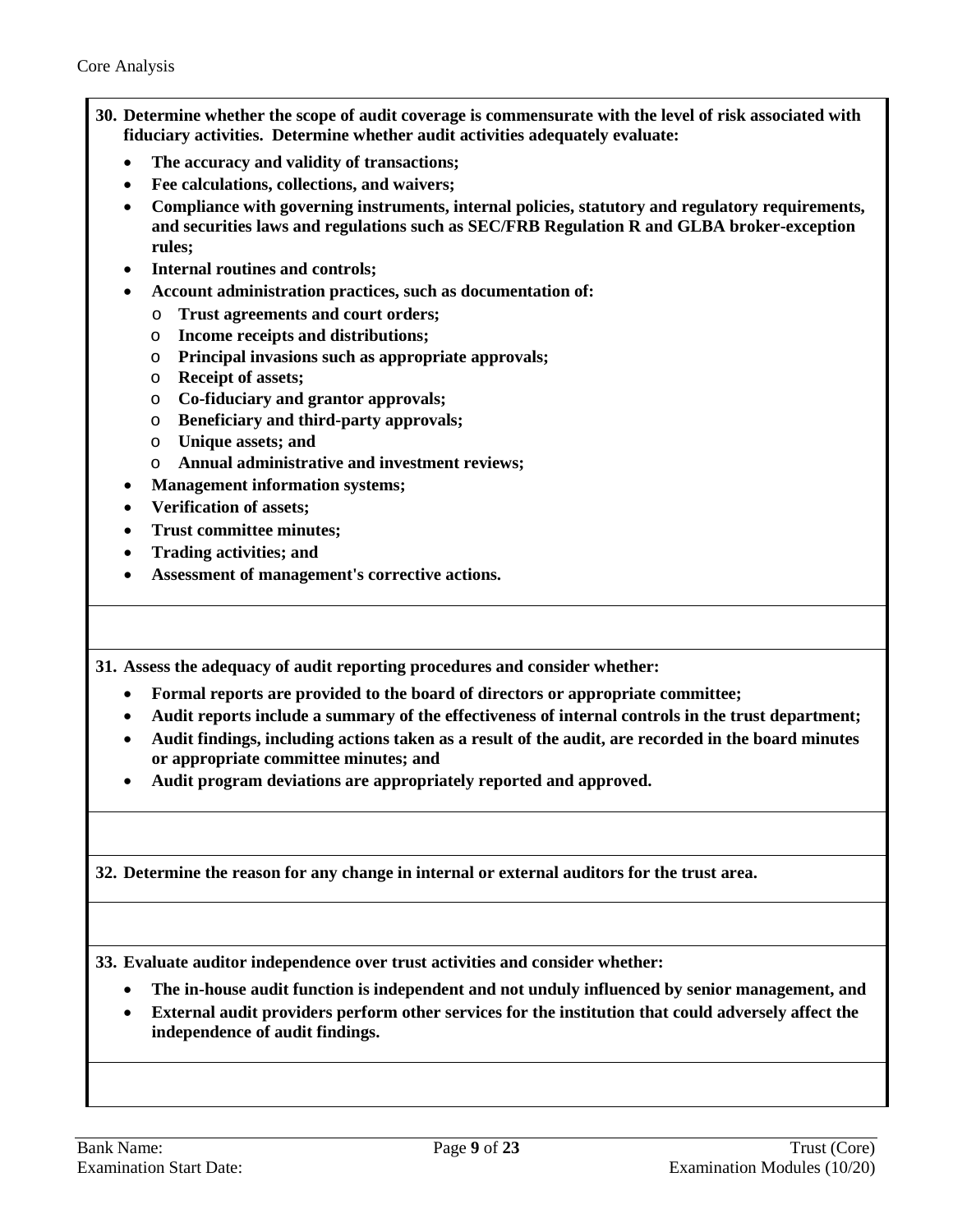- **30. Determine whether the scope of audit coverage is commensurate with the level of risk associated with fiduciary activities. Determine whether audit activities adequately evaluate:**
	- **The accuracy and validity of transactions;**
	- **Fee calculations, collections, and waivers;**
	- **Compliance with governing instruments, internal policies, statutory and regulatory requirements, and securities laws and regulations such as SEC/FRB Regulation R and GLBA broker-exception rules;**
	- **Internal routines and controls;**
	- **Account administration practices, such as documentation of:**
		- o **Trust agreements and court orders;**
		- o **Income receipts and distributions;**
		- o **Principal invasions such as appropriate approvals;**
		- o **Receipt of assets;**
		- o **Co-fiduciary and grantor approvals;**
		- o **Beneficiary and third-party approvals;**
		- o **Unique assets; and**
		- o **Annual administrative and investment reviews;**
	- **Management information systems;**
	- **Verification of assets;**
	- **Trust committee minutes;**
	- **Trading activities; and**
	- **Assessment of management's corrective actions.**

**31. Assess the adequacy of audit reporting procedures and consider whether:** 

- **Formal reports are provided to the board of directors or appropriate committee;**
- **Audit reports include a summary of the effectiveness of internal controls in the trust department;**
- **Audit findings, including actions taken as a result of the audit, are recorded in the board minutes or appropriate committee minutes; and**
- **Audit program deviations are appropriately reported and approved.**

**32. Determine the reason for any change in internal or external auditors for the trust area.** 

**33. Evaluate auditor independence over trust activities and consider whether:** 

- **The in-house audit function is independent and not unduly influenced by senior management, and**
- **External audit providers perform other services for the institution that could adversely affect the independence of audit findings.**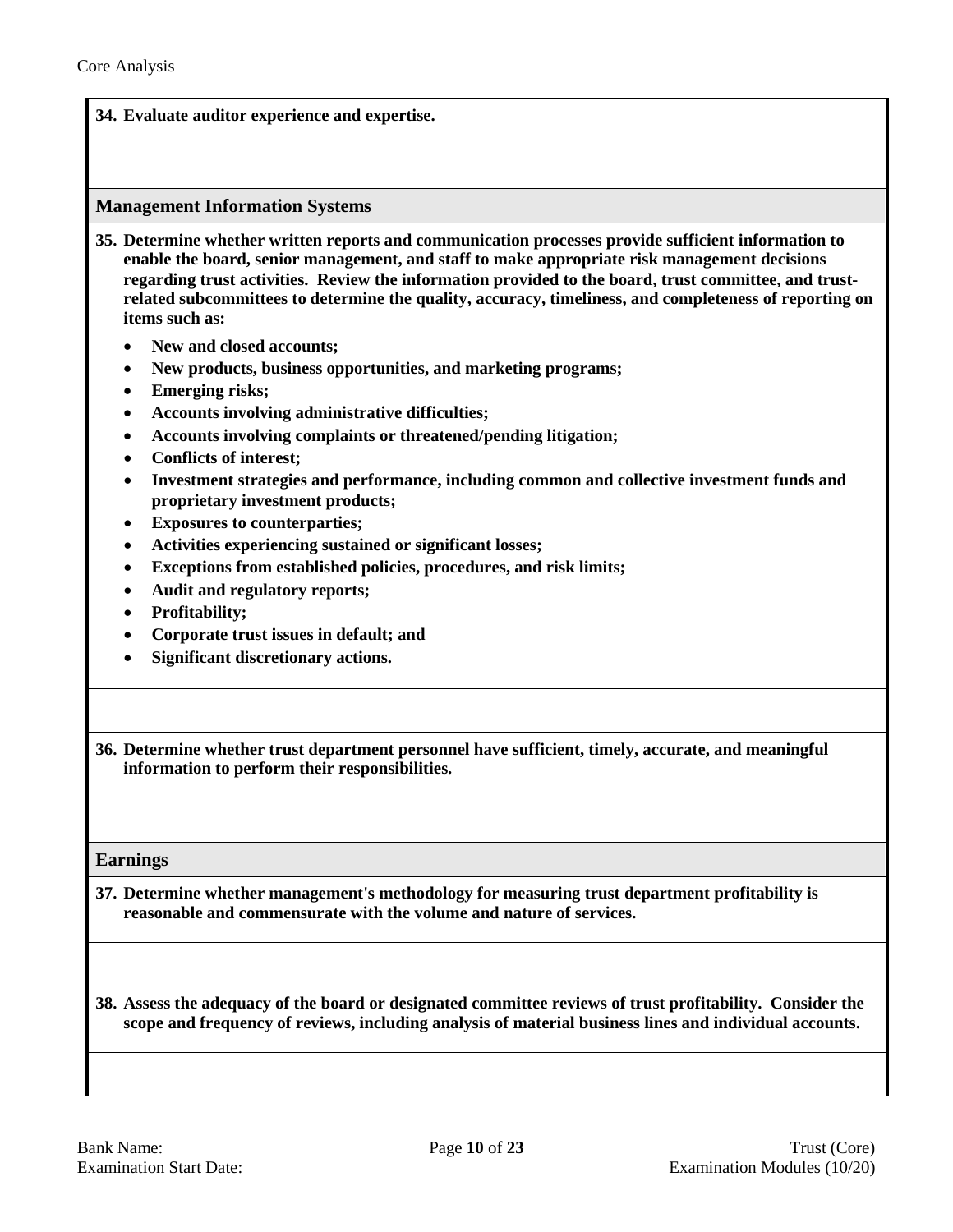#### **34. Evaluate auditor experience and expertise.**

#### <span id="page-9-0"></span>**Management Information Systems**

- **35. Determine whether written reports and communication processes provide sufficient information to enable the board, senior management, and staff to make appropriate risk management decisions regarding trust activities. Review the information provided to the board, trust committee, and trustrelated subcommittees to determine the quality, accuracy, timeliness, and completeness of reporting on items such as:** 
	- **New and closed accounts;**
	- **New products, business opportunities, and marketing programs;**
	- **Emerging risks;**
	- **Accounts involving administrative difficulties;**
	- **Accounts involving complaints or threatened/pending litigation;**
	- **Conflicts of interest;**
	- **Investment strategies and performance, including common and collective investment funds and proprietary investment products;**
	- **Exposures to counterparties;**
	- **Activities experiencing sustained or significant losses;**
	- **Exceptions from established policies, procedures, and risk limits;**
	- **Audit and regulatory reports;**
	- **Profitability;**
	- **Corporate trust issues in default; and**
	- **Significant discretionary actions.**

**36. Determine whether trust department personnel have sufficient, timely, accurate, and meaningful information to perform their responsibilities.** 

<span id="page-9-1"></span>**Earnings** 

**37. Determine whether management's methodology for measuring trust department profitability is reasonable and commensurate with the volume and nature of services.**

**38. Assess the adequacy of the board or designated committee reviews of trust profitability. Consider the scope and frequency of reviews, including analysis of material business lines and individual accounts.**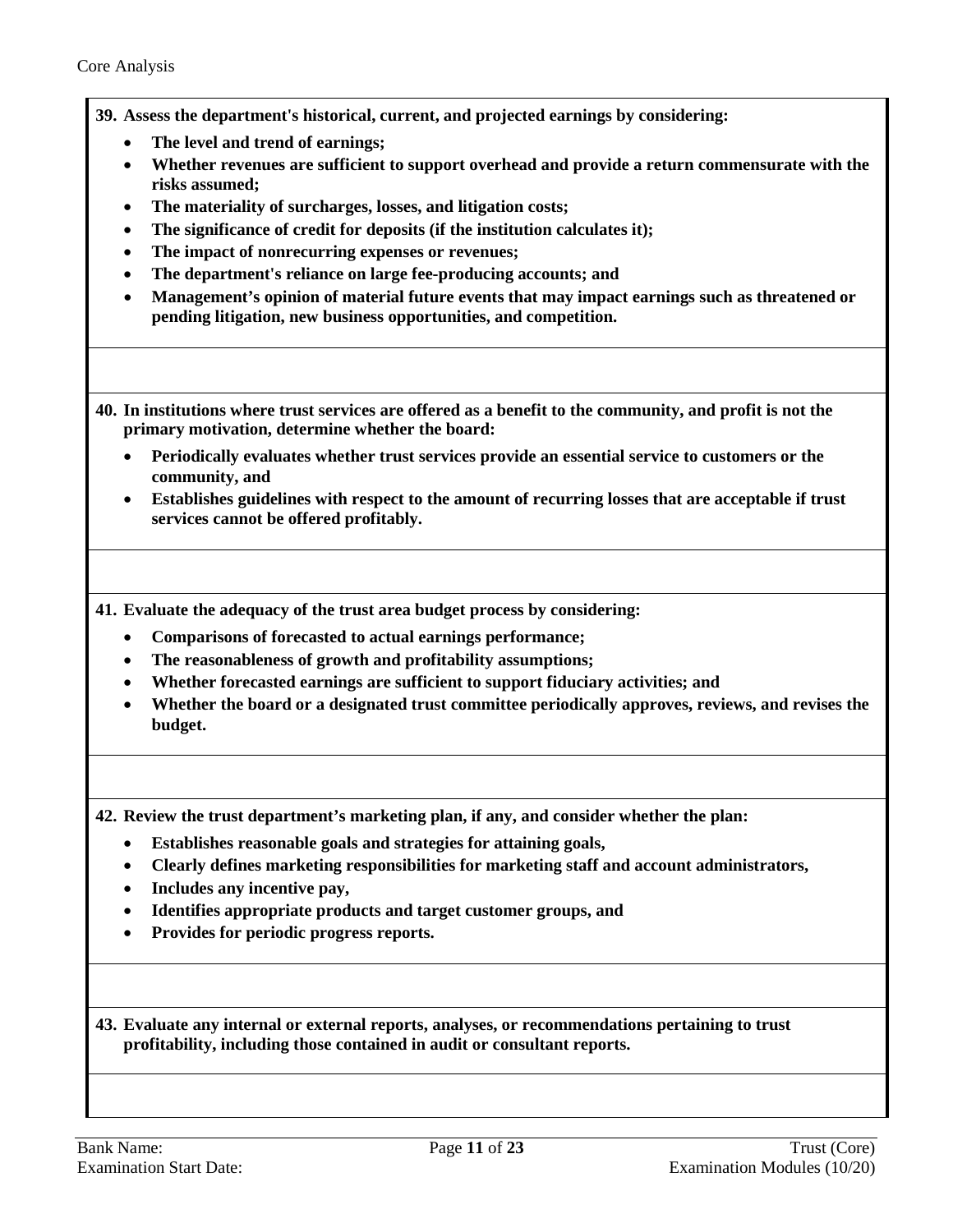- **39. Assess the department's historical, current, and projected earnings by considering:**
	- **The level and trend of earnings;**
	- **Whether revenues are sufficient to support overhead and provide a return commensurate with the risks assumed;**
	- **The materiality of surcharges, losses, and litigation costs;**
	- **The significance of credit for deposits (if the institution calculates it);**
	- **The impact of nonrecurring expenses or revenues;**
	- **The department's reliance on large fee-producing accounts; and**
	- **Management's opinion of material future events that may impact earnings such as threatened or pending litigation, new business opportunities, and competition.**
- **40. In institutions where trust services are offered as a benefit to the community, and profit is not the primary motivation, determine whether the board:**
	- **Periodically evaluates whether trust services provide an essential service to customers or the community, and**
	- **Establishes guidelines with respect to the amount of recurring losses that are acceptable if trust services cannot be offered profitably.**

**41. Evaluate the adequacy of the trust area budget process by considering:**

- **Comparisons of forecasted to actual earnings performance;**
- **The reasonableness of growth and profitability assumptions;**
- **Whether forecasted earnings are sufficient to support fiduciary activities; and**
- **Whether the board or a designated trust committee periodically approves, reviews, and revises the budget.**

**42. Review the trust department's marketing plan, if any, and consider whether the plan:**

- **Establishes reasonable goals and strategies for attaining goals,**
- **Clearly defines marketing responsibilities for marketing staff and account administrators,**
- **Includes any incentive pay,**
- **Identifies appropriate products and target customer groups, and**
- **Provides for periodic progress reports.**

**43. Evaluate any internal or external reports, analyses, or recommendations pertaining to trust profitability, including those contained in audit or consultant reports.**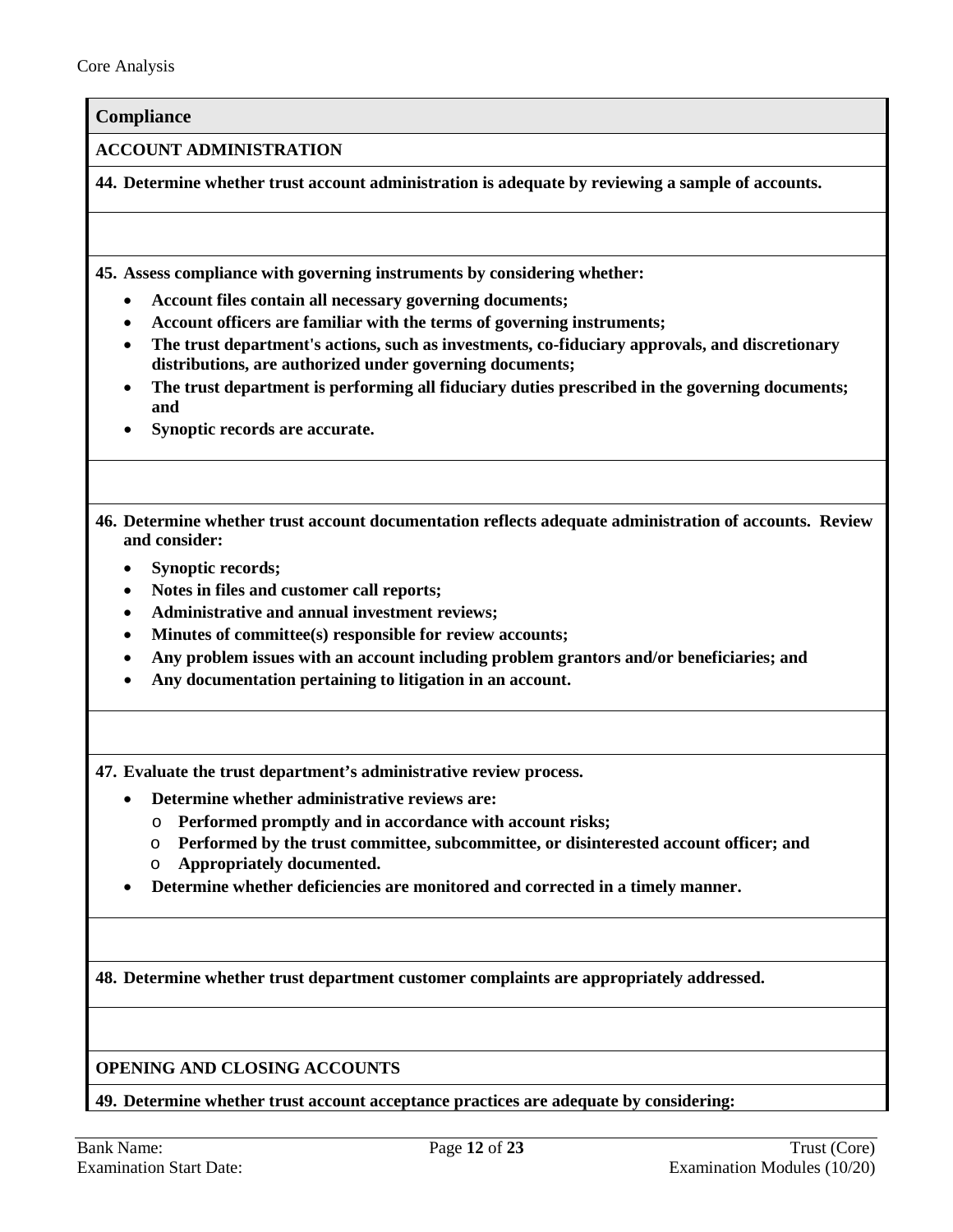<span id="page-11-0"></span>**Compliance**

**ACCOUNT ADMINISTRATION**

**44. Determine whether trust account administration is adequate by reviewing a sample of accounts.** 

**45. Assess compliance with governing instruments by considering whether:** 

- **Account files contain all necessary governing documents;**
- **Account officers are familiar with the terms of governing instruments;**
- **The trust department's actions, such as investments, co-fiduciary approvals, and discretionary distributions, are authorized under governing documents;**
- **The trust department is performing all fiduciary duties prescribed in the governing documents; and**
- **Synoptic records are accurate.**

**46. Determine whether trust account documentation reflects adequate administration of accounts. Review and consider:**

- **Synoptic records;**
- **Notes in files and customer call reports;**
- **Administrative and annual investment reviews;**
- **Minutes of committee(s) responsible for review accounts;**
- **Any problem issues with an account including problem grantors and/or beneficiaries; and**
- **Any documentation pertaining to litigation in an account.**

**47. Evaluate the trust department's administrative review process.**

- **Determine whether administrative reviews are:**
	- o **Performed promptly and in accordance with account risks;**
	- o **Performed by the trust committee, subcommittee, or disinterested account officer; and**
	- o **Appropriately documented.**
- **Determine whether deficiencies are monitored and corrected in a timely manner.**

**48. Determine whether trust department customer complaints are appropriately addressed.**

**OPENING AND CLOSING ACCOUNTS**

**49. Determine whether trust account acceptance practices are adequate by considering:**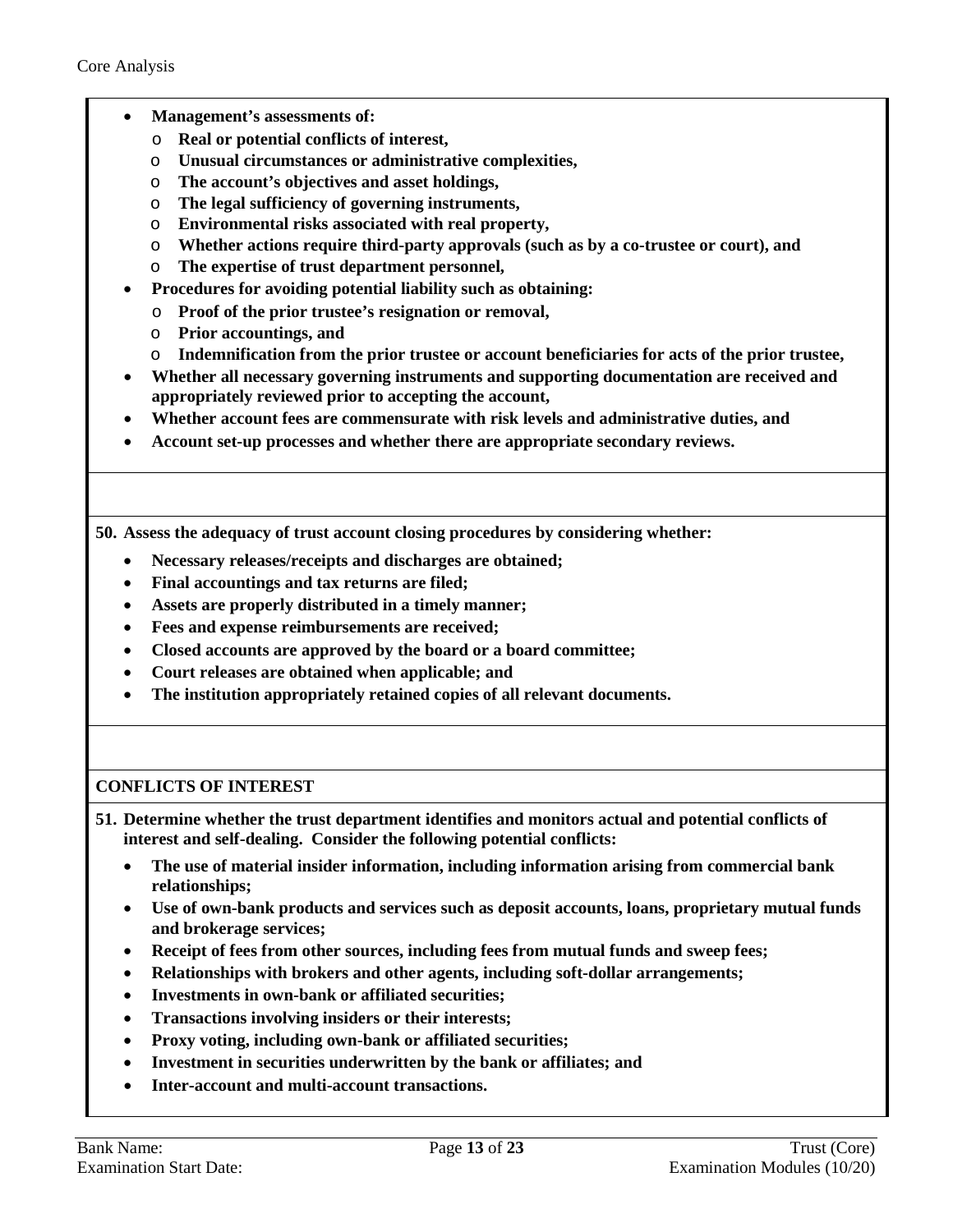- **Management's assessments of:**
	- o **Real or potential conflicts of interest,**
	- o **Unusual circumstances or administrative complexities,**
	- o **The account's objectives and asset holdings,**
	- o **The legal sufficiency of governing instruments,**
	- o **Environmental risks associated with real property,**
	- o **Whether actions require third-party approvals (such as by a co-trustee or court), and**
	- o **The expertise of trust department personnel,**
- **Procedures for avoiding potential liability such as obtaining:**
	- o **Proof of the prior trustee's resignation or removal,**
	- o **Prior accountings, and**
	- o **Indemnification from the prior trustee or account beneficiaries for acts of the prior trustee,**
- **Whether all necessary governing instruments and supporting documentation are received and appropriately reviewed prior to accepting the account,**
- **Whether account fees are commensurate with risk levels and administrative duties, and**
- **Account set-up processes and whether there are appropriate secondary reviews.**

**50. Assess the adequacy of trust account closing procedures by considering whether:**

- **Necessary releases/receipts and discharges are obtained;**
- **Final accountings and tax returns are filed;**
- **Assets are properly distributed in a timely manner;**
- **Fees and expense reimbursements are received;**
- **Closed accounts are approved by the board or a board committee;**
- **Court releases are obtained when applicable; and**
- **The institution appropriately retained copies of all relevant documents.**

## **CONFLICTS OF INTEREST**

**51. Determine whether the trust department identifies and monitors actual and potential conflicts of interest and self-dealing. Consider the following potential conflicts:**

- **The use of material insider information, including information arising from commercial bank relationships;**
- **Use of own-bank products and services such as deposit accounts, loans, proprietary mutual funds and brokerage services;**
- **Receipt of fees from other sources, including fees from mutual funds and sweep fees;**
- **Relationships with brokers and other agents, including soft-dollar arrangements;**
- **Investments in own-bank or affiliated securities;**
- **Transactions involving insiders or their interests;**
- **Proxy voting, including own-bank or affiliated securities;**
- **Investment in securities underwritten by the bank or affiliates; and**
- **Inter-account and multi-account transactions.**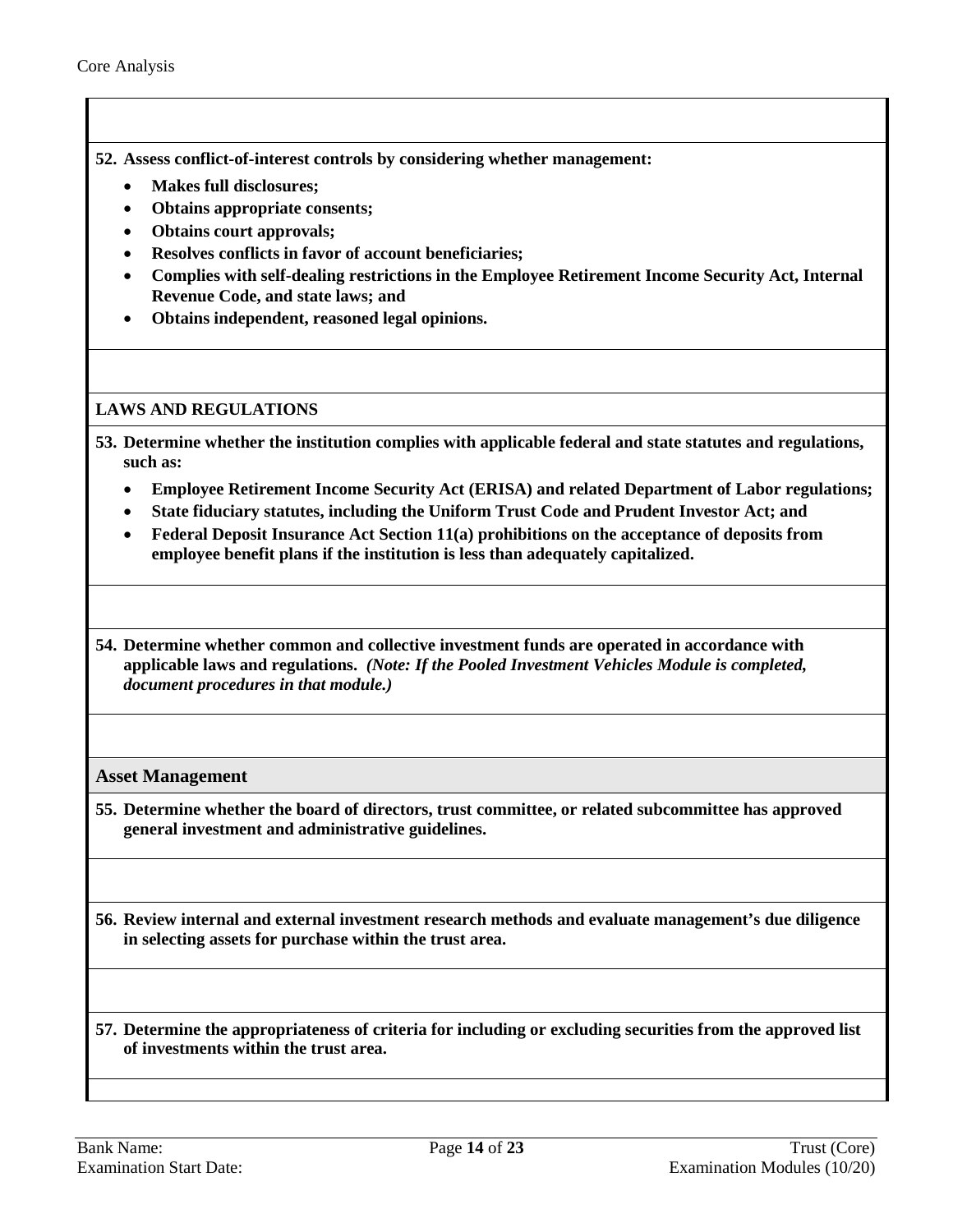- **52. Assess conflict-of-interest controls by considering whether management:** 
	- **Makes full disclosures;**
	- **Obtains appropriate consents;**
	- **Obtains court approvals;**
	- **Resolves conflicts in favor of account beneficiaries;**
	- **Complies with self-dealing restrictions in the Employee Retirement Income Security Act, Internal Revenue Code, and state laws; and**
	- **Obtains independent, reasoned legal opinions.**

#### **LAWS AND REGULATIONS**

- **53. Determine whether the institution complies with applicable federal and state statutes and regulations, such as:** 
	- **Employee Retirement Income Security Act (ERISA) and related Department of Labor regulations;**
	- **State fiduciary statutes, including the Uniform Trust Code and Prudent Investor Act; and**
	- **Federal Deposit Insurance Act Section 11(a) prohibitions on the acceptance of deposits from employee benefit plans if the institution is less than adequately capitalized.**
- **54. Determine whether common and collective investment funds are operated in accordance with applicable laws and regulations.** *(Note: If the Pooled Investment Vehicles Module is completed, document procedures in that module.)*

## <span id="page-13-0"></span>**Asset Management**

**55. Determine whether the board of directors, trust committee, or related subcommittee has approved general investment and administrative guidelines.** 

**56. Review internal and external investment research methods and evaluate management's due diligence in selecting assets for purchase within the trust area.** 

**57. Determine the appropriateness of criteria for including or excluding securities from the approved list of investments within the trust area.**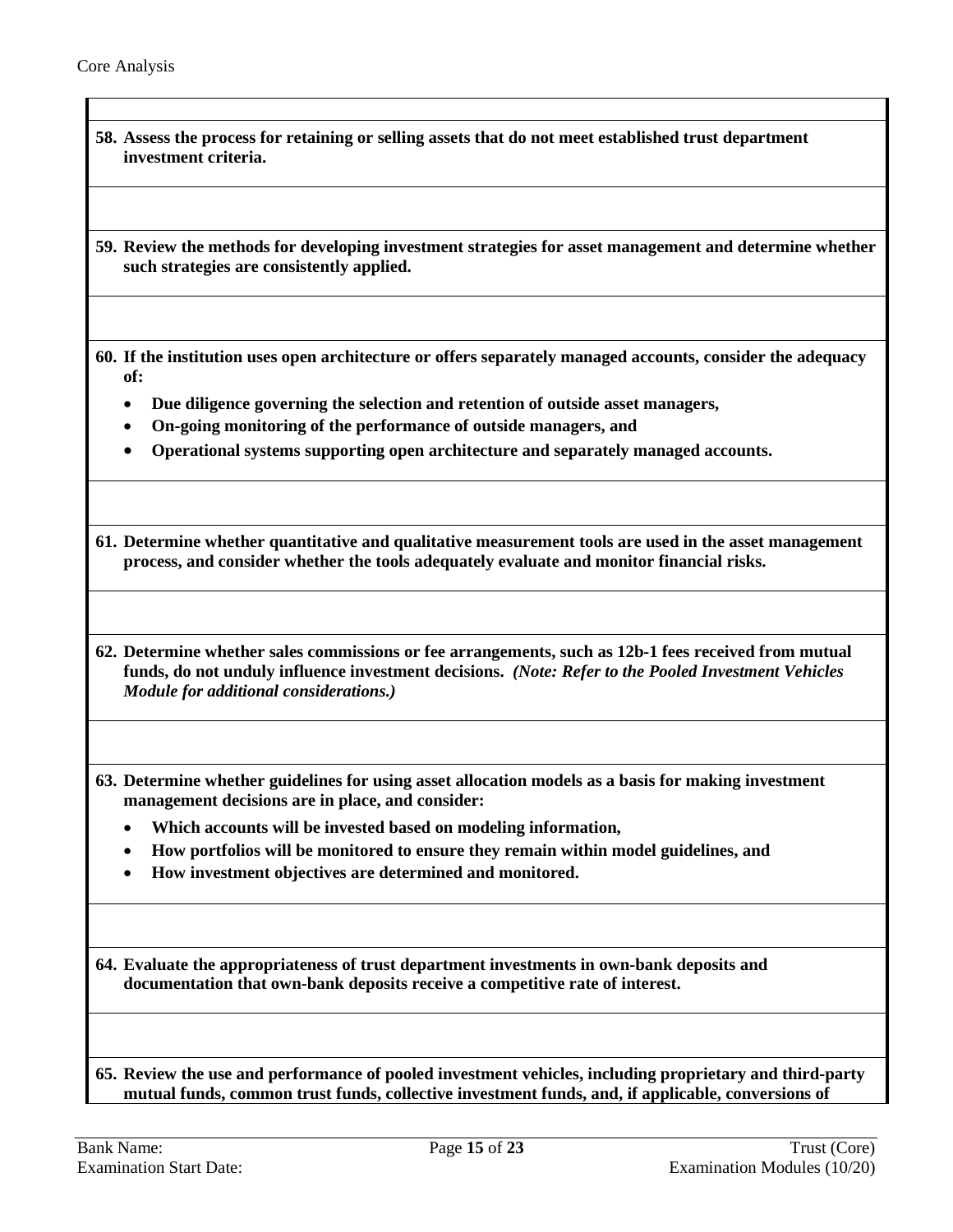| 58. Assess the process for retaining or selling assets that do not meet established trust department<br>investment criteria.                                                                                                                          |
|-------------------------------------------------------------------------------------------------------------------------------------------------------------------------------------------------------------------------------------------------------|
| 59. Review the methods for developing investment strategies for asset management and determine whether<br>such strategies are consistently applied.                                                                                                   |
| 60. If the institution uses open architecture or offers separately managed accounts, consider the adequacy<br>of:                                                                                                                                     |
| Due diligence governing the selection and retention of outside asset managers,                                                                                                                                                                        |
| On-going monitoring of the performance of outside managers, and<br>٠                                                                                                                                                                                  |
| Operational systems supporting open architecture and separately managed accounts.                                                                                                                                                                     |
| 61. Determine whether quantitative and qualitative measurement tools are used in the asset management<br>process, and consider whether the tools adequately evaluate and monitor financial risks.                                                     |
| 62. Determine whether sales commissions or fee arrangements, such as 12b-1 fees received from mutual<br>funds, do not unduly influence investment decisions. (Note: Refer to the Pooled Investment Vehicles<br>Module for additional considerations.) |
| 63. Determine whether guidelines for using asset allocation models as a basis for making investment<br>management decisions are in place, and consider:                                                                                               |
| Which accounts will be invested based on modeling information,                                                                                                                                                                                        |
| How portfolios will be monitored to ensure they remain within model guidelines, and                                                                                                                                                                   |
| How investment objectives are determined and monitored.                                                                                                                                                                                               |
| 64. Evaluate the appropriateness of trust department investments in own-bank deposits and<br>documentation that own-bank deposits receive a competitive rate of interest.                                                                             |
| 65. Review the use and performance of pooled investment vehicles, including proprietary and third-party<br>mutual funds, common trust funds, collective investment funds, and, if applicable, conversions of                                          |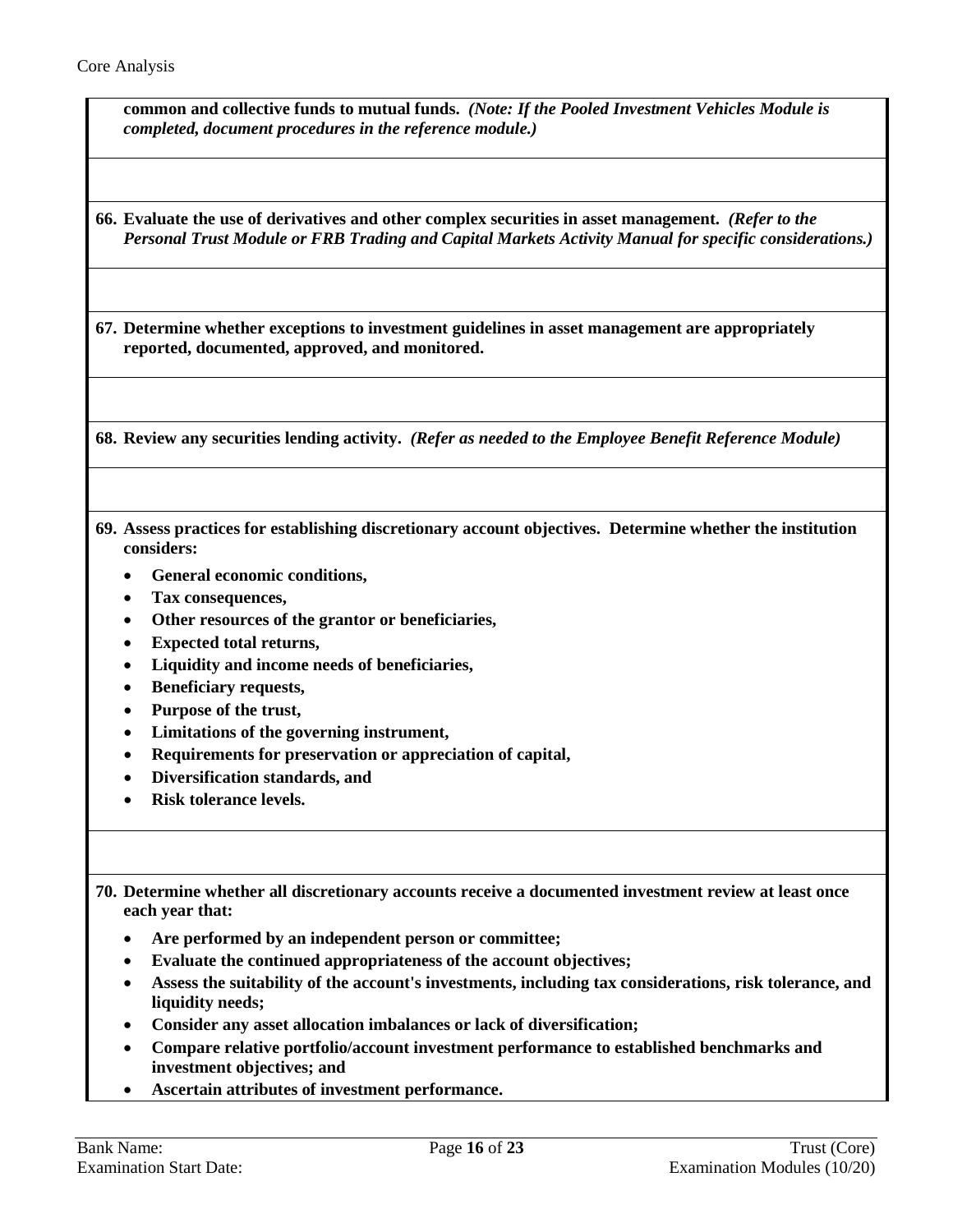| common and collective funds to mutual funds. (Note: If the Pooled Investment Vehicles Module is<br>completed, document procedures in the reference module.)                                                                                                                                                                                                                                                             |
|-------------------------------------------------------------------------------------------------------------------------------------------------------------------------------------------------------------------------------------------------------------------------------------------------------------------------------------------------------------------------------------------------------------------------|
| 66. Evaluate the use of derivatives and other complex securities in asset management. (Refer to the<br>Personal Trust Module or FRB Trading and Capital Markets Activity Manual for specific considerations.)                                                                                                                                                                                                           |
| 67. Determine whether exceptions to investment guidelines in asset management are appropriately<br>reported, documented, approved, and monitored.                                                                                                                                                                                                                                                                       |
| 68. Review any securities lending activity. (Refer as needed to the Employee Benefit Reference Module)                                                                                                                                                                                                                                                                                                                  |
| 69. Assess practices for establishing discretionary account objectives. Determine whether the institution<br>considers:<br>General economic conditions,<br>Tax consequences,<br>Other resources of the grantor or beneficiaries,<br><b>Expected total returns,</b><br>Liquidity and income needs of beneficiaries,<br><b>Beneficiary requests,</b><br>Purpose of the trust,<br>Limitations of the governing instrument, |
| Requirements for preservation or appreciation of capital,<br>Diversification standards, and<br><b>Risk tolerance levels.</b>                                                                                                                                                                                                                                                                                            |
| 70. Determine whether all discretionary accounts receive a documented investment review at least once<br>each year that:<br>Are performed by an independent person or committee;<br>Evaluate the continued appropriateness of the account objectives;<br>Assess the suitability of the account's investments, including tax considerations, risk tolerance, and                                                         |
| liquidity needs;<br>Consider any asset allocation imbalances or lack of diversification;<br>nove velotive nextfolio/access investment nextermones to established henchmovis and                                                                                                                                                                                                                                         |

- **Compare relative portfolio/account investment performance to established benchmarks and investment objectives; and**
- **Ascertain attributes of investment performance.**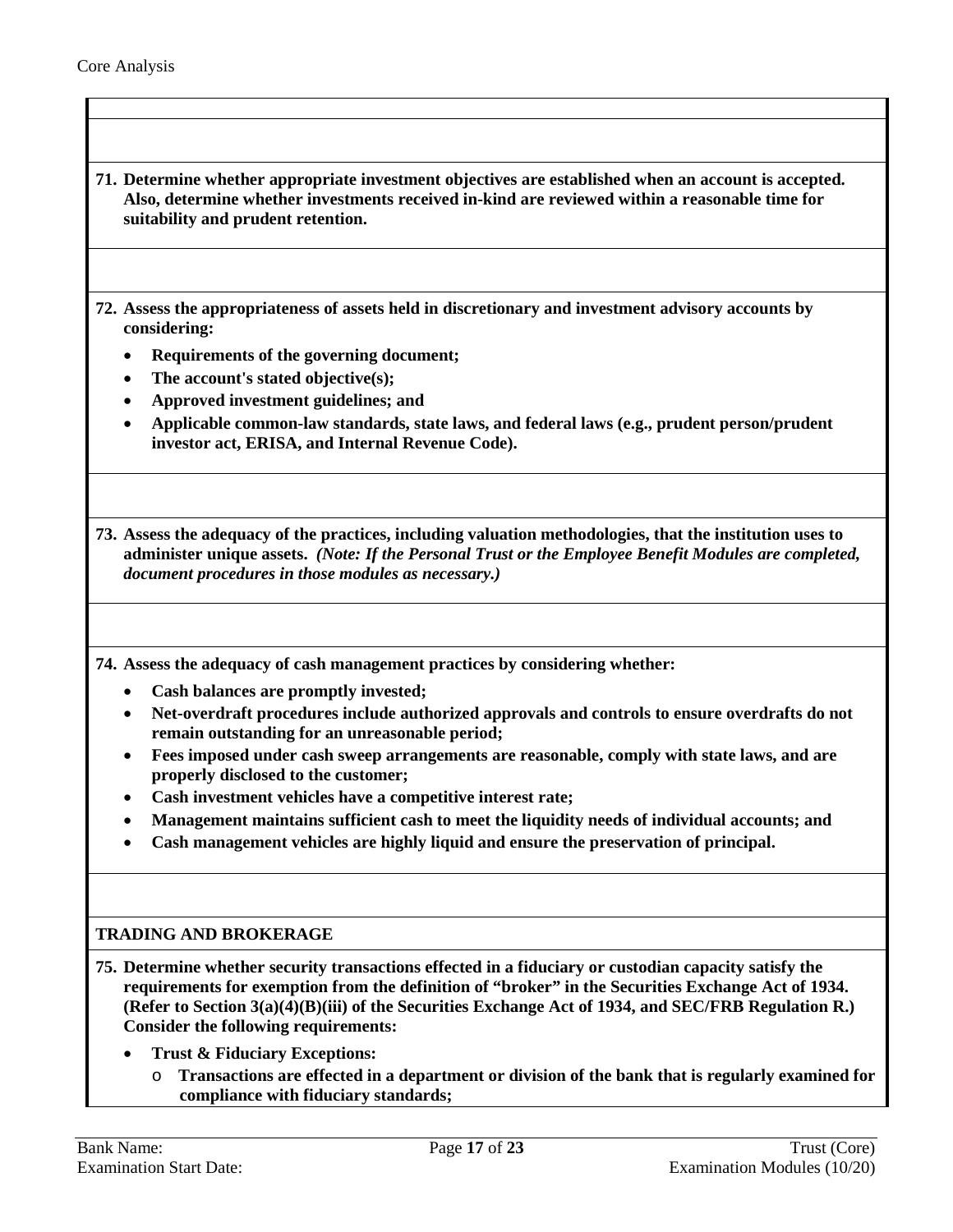- **71. Determine whether appropriate investment objectives are established when an account is accepted. Also, determine whether investments received in-kind are reviewed within a reasonable time for suitability and prudent retention.**
- **72. Assess the appropriateness of assets held in discretionary and investment advisory accounts by considering:**
	- **Requirements of the governing document;**
	- **The account's stated objective(s);**
	- **Approved investment guidelines; and**
	- **Applicable common-law standards, state laws, and federal laws (e.g., prudent person/prudent investor act, ERISA, and Internal Revenue Code).**

**73. Assess the adequacy of the practices, including valuation methodologies, that the institution uses to administer unique assets.** *(Note: If the Personal Trust or the Employee Benefit Modules are completed, document procedures in those modules as necessary.)*

**74. Assess the adequacy of cash management practices by considering whether:** 

- **Cash balances are promptly invested;**
- **Net-overdraft procedures include authorized approvals and controls to ensure overdrafts do not remain outstanding for an unreasonable period;**
- **Fees imposed under cash sweep arrangements are reasonable, comply with state laws, and are properly disclosed to the customer;**
- **Cash investment vehicles have a competitive interest rate;**
- **Management maintains sufficient cash to meet the liquidity needs of individual accounts; and**
- **Cash management vehicles are highly liquid and ensure the preservation of principal.**

#### **TRADING AND BROKERAGE**

**75. Determine whether security transactions effected in a fiduciary or custodian capacity satisfy the requirements for exemption from the definition of "broker" in the Securities Exchange Act of 1934. (Refer to Section 3(a)(4)(B)(iii) of the Securities Exchange Act of 1934, and SEC/FRB Regulation R.) Consider the following requirements:**

- **Trust & Fiduciary Exceptions:** 
	- o **Transactions are effected in a department or division of the bank that is regularly examined for compliance with fiduciary standards;**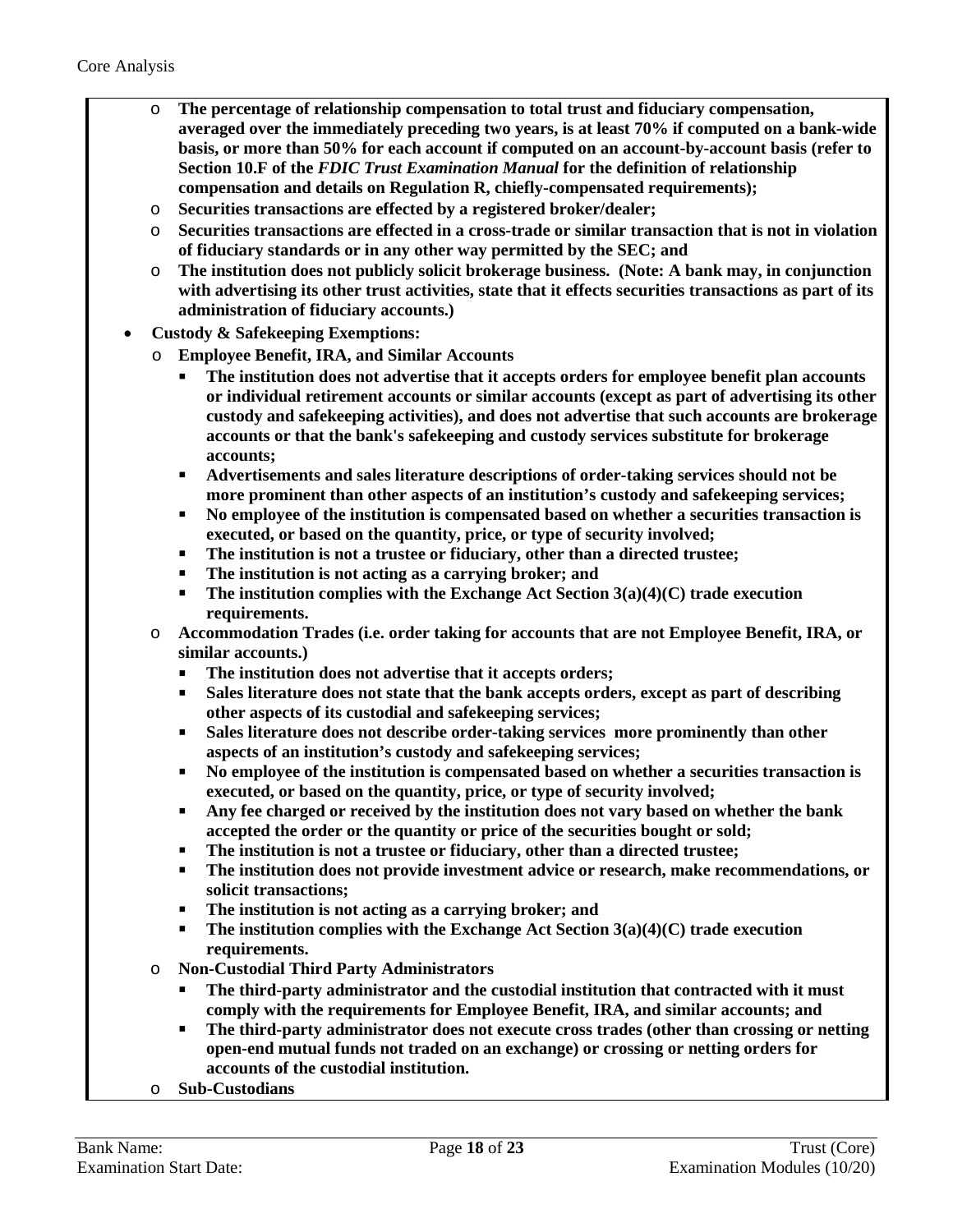- o **The percentage of relationship compensation to total trust and fiduciary compensation, averaged over the immediately preceding two years, is at least 70% if computed on a bank-wide basis, or more than 50% for each account if computed on an account-by-account basis (refer to Section 10.F of the** *FDIC Trust Examination Manual* **for the definition of relationship compensation and details on Regulation R, chiefly-compensated requirements);**
- Securities transactions are effected by a registered broker/dealer;
- o **Securities transactions are effected in a cross-trade or similar transaction that is not in violation of fiduciary standards or in any other way permitted by the SEC; and**
- o **The institution does not publicly solicit brokerage business. (Note: A bank may, in conjunction with advertising its other trust activities, state that it effects securities transactions as part of its administration of fiduciary accounts.)**
- **Custody & Safekeeping Exemptions:** 
	- o **Employee Benefit, IRA, and Similar Accounts**
		- **The institution does not advertise that it accepts orders for employee benefit plan accounts or individual retirement accounts or similar accounts (except as part of advertising its other custody and safekeeping activities), and does not advertise that such accounts are brokerage accounts or that the bank's safekeeping and custody services substitute for brokerage accounts;**
		- **Advertisements and sales literature descriptions of order-taking services should not be more prominent than other aspects of an institution's custody and safekeeping services;**
		- **No employee of the institution is compensated based on whether a securities transaction is executed, or based on the quantity, price, or type of security involved;**
		- **The institution is not a trustee or fiduciary, other than a directed trustee;**
		- **The institution is not acting as a carrying broker; and**
		- **The institution complies with the Exchange Act Section 3(a)(4)(C) trade execution requirements.**
	- o **Accommodation Trades (i.e. order taking for accounts that are not Employee Benefit, IRA, or similar accounts.)** 
		- **The institution does not advertise that it accepts orders;**
		- **Sales literature does not state that the bank accepts orders, except as part of describing other aspects of its custodial and safekeeping services;**
		- **Sales literature does not describe order-taking services more prominently than other aspects of an institution's custody and safekeeping services;**
		- **No employee of the institution is compensated based on whether a securities transaction is executed, or based on the quantity, price, or type of security involved;**
		- **Any fee charged or received by the institution does not vary based on whether the bank accepted the order or the quantity or price of the securities bought or sold;**
		- **The institution is not a trustee or fiduciary, other than a directed trustee;**
		- **The institution does not provide investment advice or research, make recommendations, or solicit transactions;**
		- **The institution is not acting as a carrying broker; and**
		- **The institution complies with the Exchange Act Section 3(a)(4)(C) trade execution requirements.**
	- o **Non-Custodial Third Party Administrators**
		- **The third-party administrator and the custodial institution that contracted with it must comply with the requirements for Employee Benefit, IRA, and similar accounts; and**
		- **The third-party administrator does not execute cross trades (other than crossing or netting open-end mutual funds not traded on an exchange) or crossing or netting orders for accounts of the custodial institution.**
	- o **Sub-Custodians**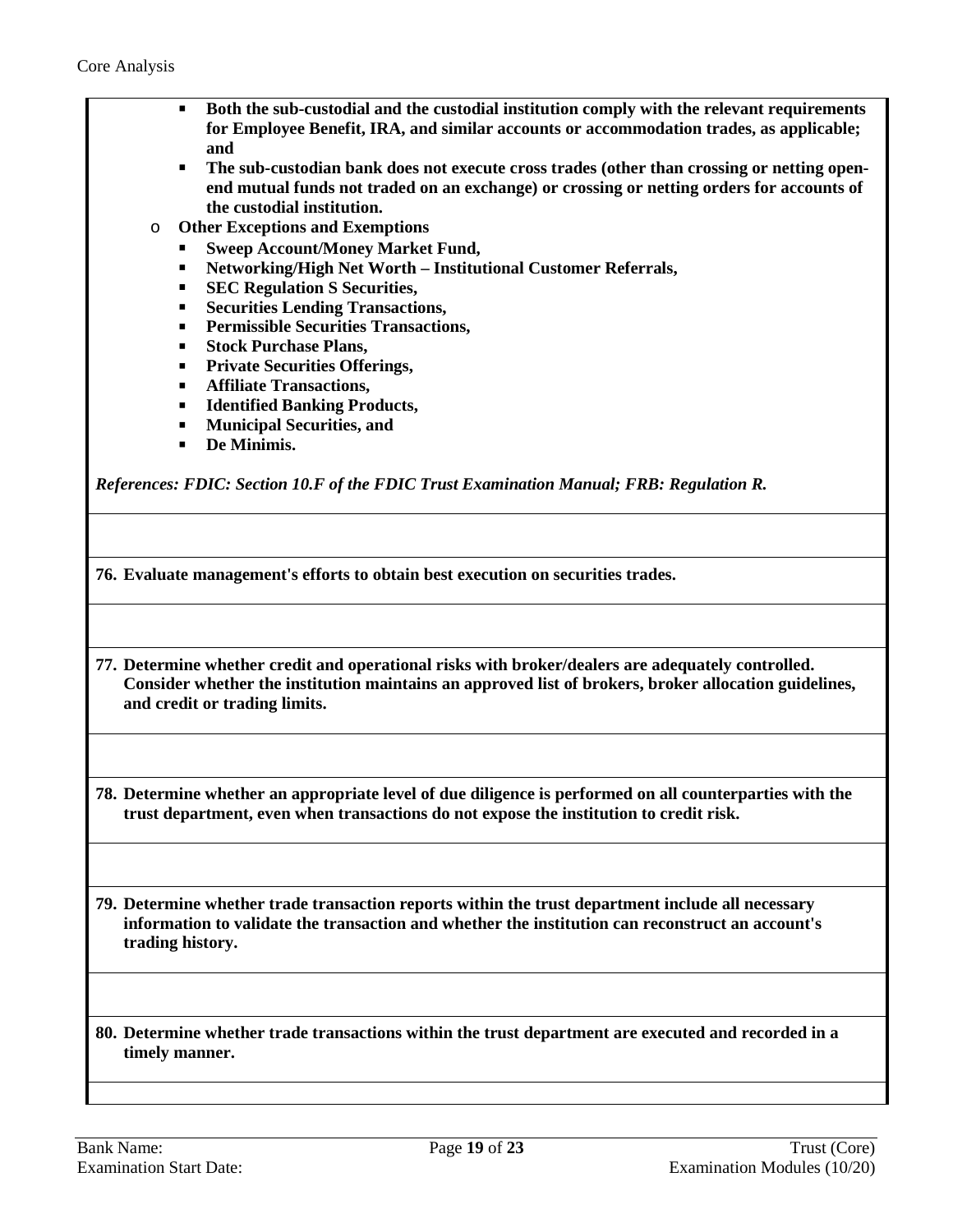- **Both the sub-custodial and the custodial institution comply with the relevant requirements for Employee Benefit, IRA, and similar accounts or accommodation trades, as applicable; and**
- **The sub-custodian bank does not execute cross trades (other than crossing or netting openend mutual funds not traded on an exchange) or crossing or netting orders for accounts of the custodial institution.**
- o **Other Exceptions and Exemptions**
	- **Sweep Account/Money Market Fund,**
	- **Networking/High Net Worth Institutional Customer Referrals,**
	- **SEC Regulation S Securities,**
	- **Securities Lending Transactions,**
	- **Permissible Securities Transactions,**
	- **Fig. 3 Stock Purchase Plans,**
	- **Private Securities Offerings,**
	- **Affiliate Transactions,**
	- **Identified Banking Products,**
	- **Municipal Securities, and**
	- **De Minimis.**

*References: FDIC: Section 10.F of the FDIC Trust Examination Manual; FRB: Regulation R.*

**76. Evaluate management's efforts to obtain best execution on securities trades.**

**77. Determine whether credit and operational risks with broker/dealers are adequately controlled. Consider whether the institution maintains an approved list of brokers, broker allocation guidelines, and credit or trading limits.**

**78. Determine whether an appropriate level of due diligence is performed on all counterparties with the trust department, even when transactions do not expose the institution to credit risk.**

**79. Determine whether trade transaction reports within the trust department include all necessary information to validate the transaction and whether the institution can reconstruct an account's trading history.**

**80. Determine whether trade transactions within the trust department are executed and recorded in a timely manner.**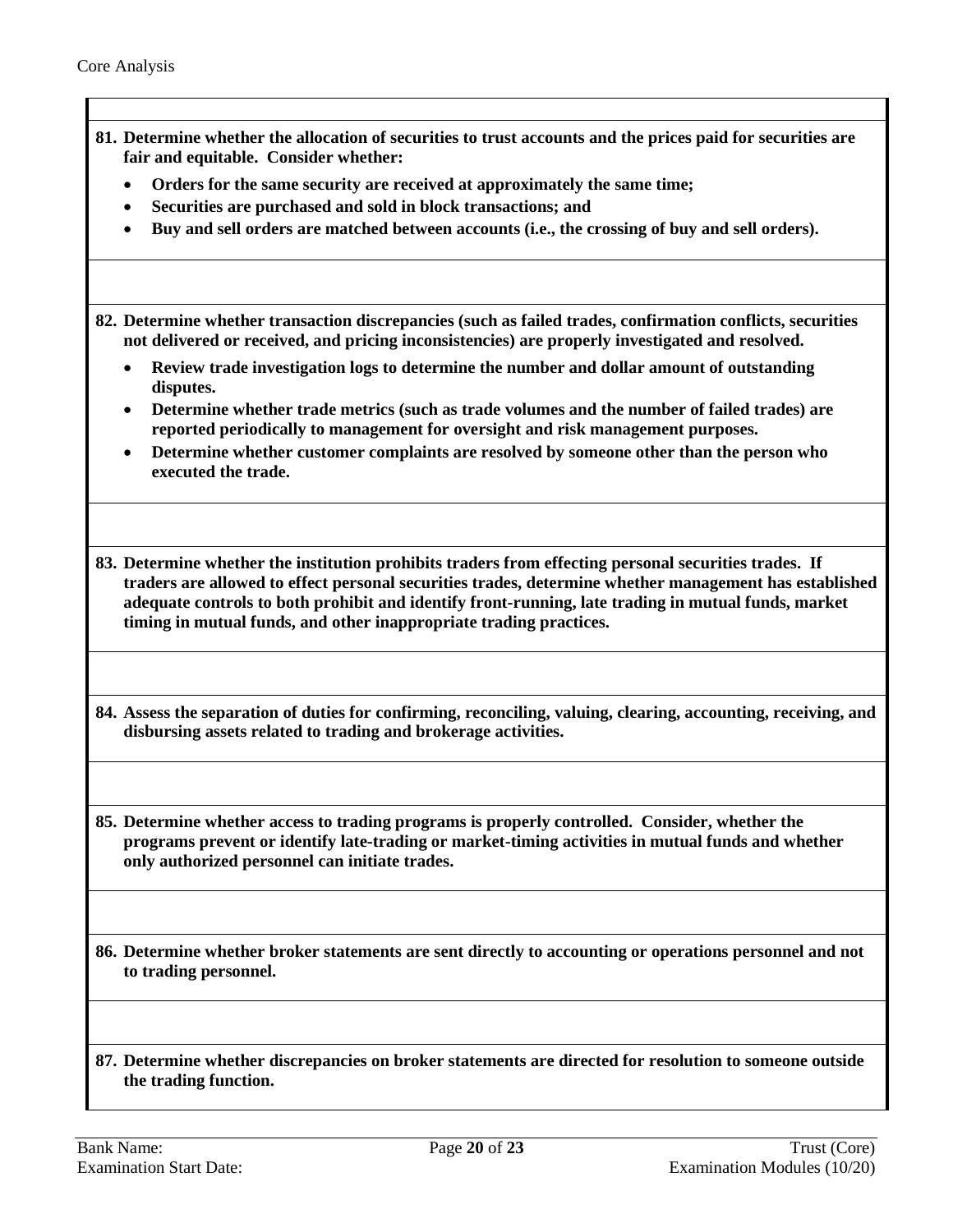| 81. Determine whether the allocation of securities to trust accounts and the prices paid for securities are<br>fair and equitable. Consider whether:<br>Orders for the same security are received at approximately the same time;<br>$\bullet$                                                                                                                                               |
|----------------------------------------------------------------------------------------------------------------------------------------------------------------------------------------------------------------------------------------------------------------------------------------------------------------------------------------------------------------------------------------------|
| Securities are purchased and sold in block transactions; and                                                                                                                                                                                                                                                                                                                                 |
| Buy and sell orders are matched between accounts (i.e., the crossing of buy and sell orders).                                                                                                                                                                                                                                                                                                |
| 82. Determine whether transaction discrepancies (such as failed trades, confirmation conflicts, securities<br>not delivered or received, and pricing inconsistencies) are properly investigated and resolved.                                                                                                                                                                                |
| Review trade investigation logs to determine the number and dollar amount of outstanding<br>disputes.                                                                                                                                                                                                                                                                                        |
| Determine whether trade metrics (such as trade volumes and the number of failed trades) are<br>reported periodically to management for oversight and risk management purposes.                                                                                                                                                                                                               |
| Determine whether customer complaints are resolved by someone other than the person who<br>executed the trade.                                                                                                                                                                                                                                                                               |
| 83. Determine whether the institution prohibits traders from effecting personal securities trades. If<br>traders are allowed to effect personal securities trades, determine whether management has established<br>adequate controls to both prohibit and identify front-running, late trading in mutual funds, market<br>timing in mutual funds, and other inappropriate trading practices. |
| 84. Assess the separation of duties for confirming, reconciling, valuing, clearing, accounting, receiving, and<br>disbursing assets related to trading and brokerage activities.                                                                                                                                                                                                             |
| 85. Determine whether access to trading programs is properly controlled. Consider, whether the<br>programs prevent or identify late-trading or market-timing activities in mutual funds and whether<br>only authorized personnel can initiate trades.                                                                                                                                        |
| 86. Determine whether broker statements are sent directly to accounting or operations personnel and not<br>to trading personnel.                                                                                                                                                                                                                                                             |
| 87. Determine whether discrepancies on broker statements are directed for resolution to someone outside<br>the trading function.                                                                                                                                                                                                                                                             |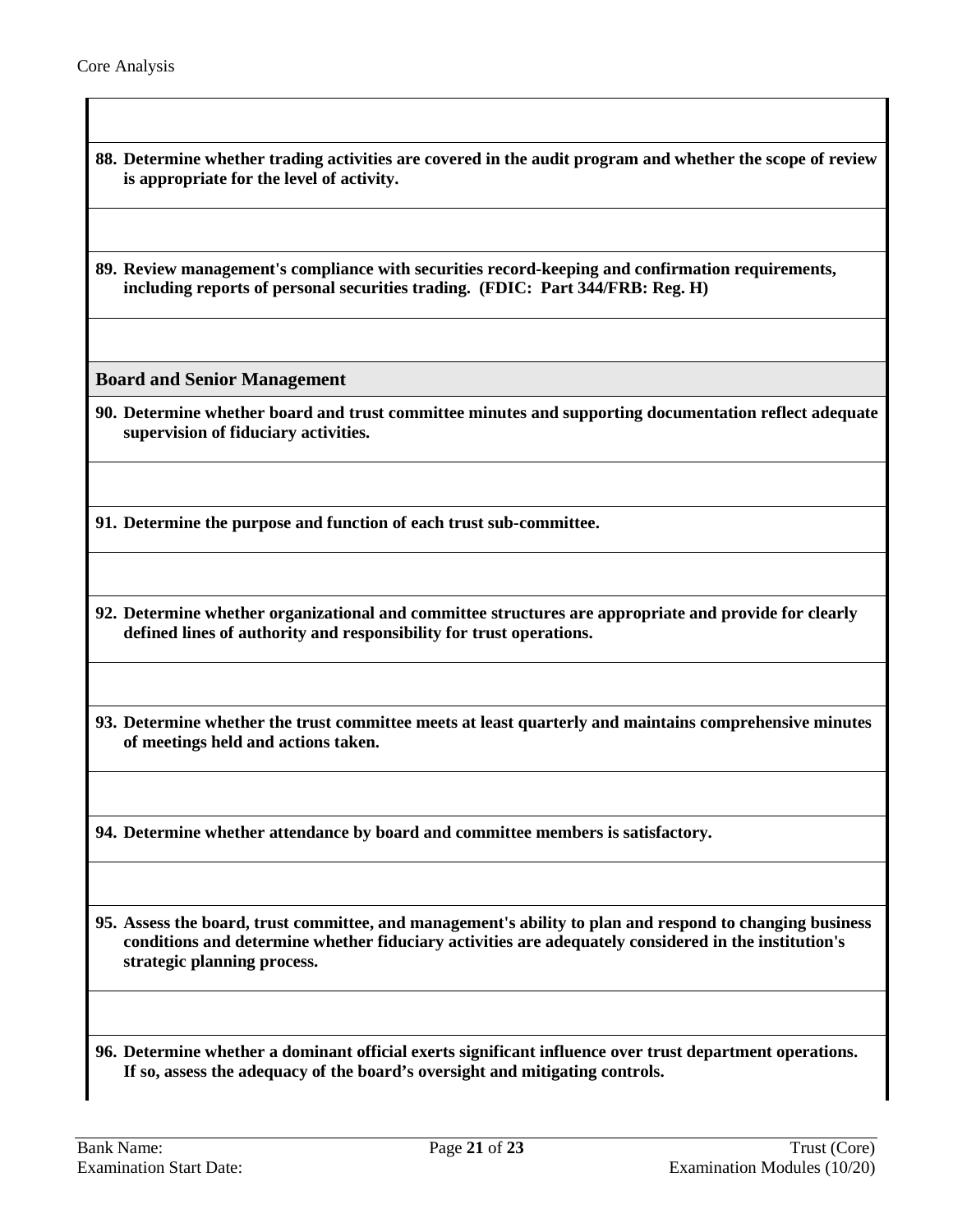- **88. Determine whether trading activities are covered in the audit program and whether the scope of review is appropriate for the level of activity.**
- **89. Review management's compliance with securities record-keeping and confirmation requirements, including reports of personal securities trading. (FDIC: Part 344/FRB: Reg. H)**

<span id="page-20-0"></span>**Board and Senior Management** 

**90. Determine whether board and trust committee minutes and supporting documentation reflect adequate supervision of fiduciary activities.**

**91. Determine the purpose and function of each trust sub-committee.**

- **92. Determine whether organizational and committee structures are appropriate and provide for clearly defined lines of authority and responsibility for trust operations.**
- **93. Determine whether the trust committee meets at least quarterly and maintains comprehensive minutes of meetings held and actions taken.**

**94. Determine whether attendance by board and committee members is satisfactory.**

**95. Assess the board, trust committee, and management's ability to plan and respond to changing business conditions and determine whether fiduciary activities are adequately considered in the institution's strategic planning process.**

**96. Determine whether a dominant official exerts significant influence over trust department operations. If so, assess the adequacy of the board's oversight and mitigating controls.**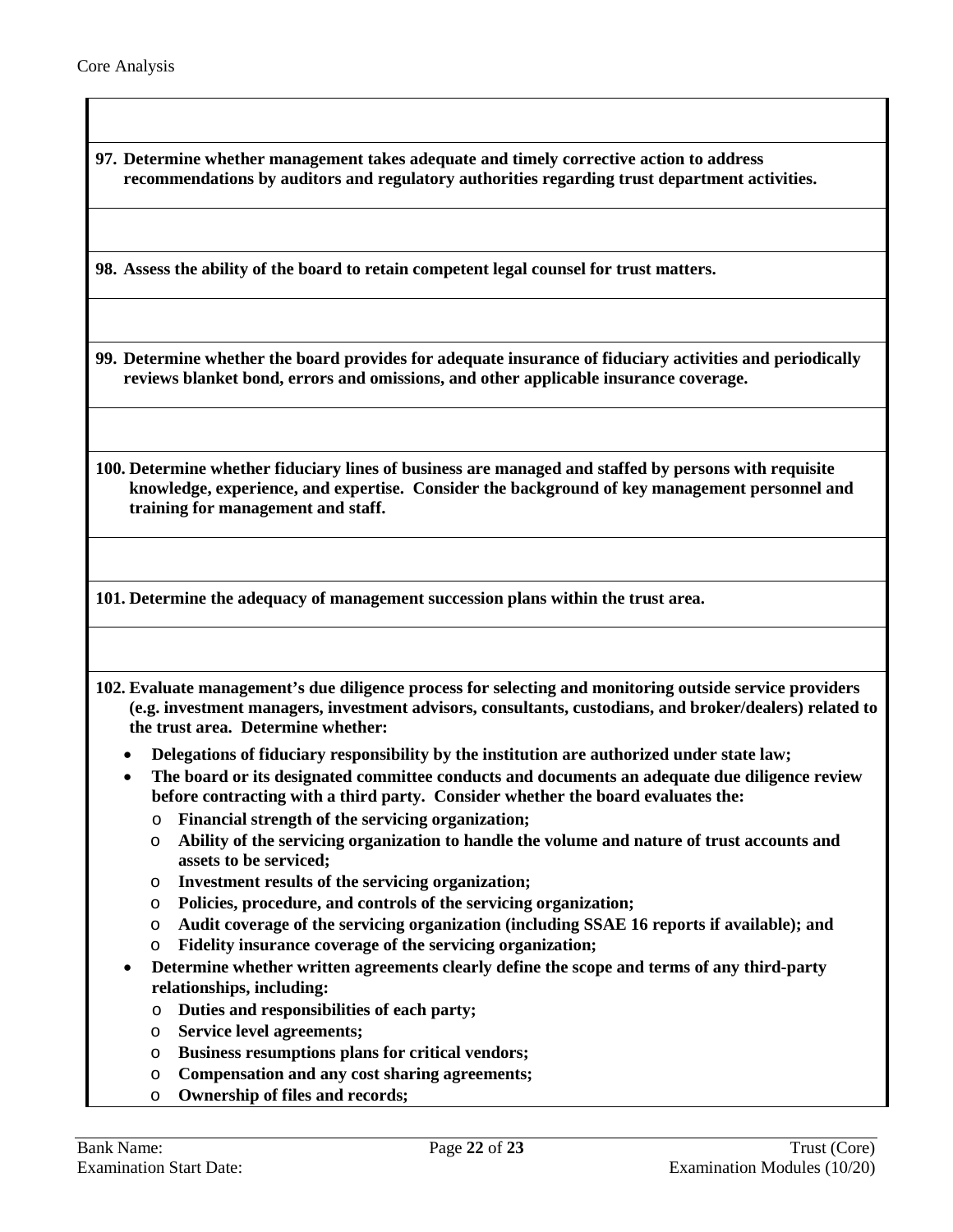|                                             | 97. Determine whether management takes adequate and timely corrective action to address<br>recommendations by auditors and regulatory authorities regarding trust department activities.                                                                                        |
|---------------------------------------------|---------------------------------------------------------------------------------------------------------------------------------------------------------------------------------------------------------------------------------------------------------------------------------|
|                                             | 98. Assess the ability of the board to retain competent legal counsel for trust matters.                                                                                                                                                                                        |
|                                             | 99. Determine whether the board provides for adequate insurance of fiduciary activities and periodically<br>reviews blanket bond, errors and omissions, and other applicable insurance coverage.                                                                                |
| training for management and staff.          | 100. Determine whether fiduciary lines of business are managed and staffed by persons with requisite<br>knowledge, experience, and expertise. Consider the background of key management personnel and                                                                           |
|                                             |                                                                                                                                                                                                                                                                                 |
|                                             | 101. Determine the adequacy of management succession plans within the trust area.                                                                                                                                                                                               |
| the trust area. Determine whether:          | 102. Evaluate management's due diligence process for selecting and monitoring outside service providers<br>(e.g. investment managers, investment advisors, consultants, custodians, and broker/dealers) related to                                                              |
|                                             | Delegations of fiduciary responsibility by the institution are authorized under state law;<br>The board or its designated committee conducts and documents an adequate due diligence review<br>before contracting with a third party. Consider whether the board evaluates the: |
| O<br>$\circ$<br>assets to be serviced;      | Financial strength of the servicing organization;<br>Ability of the servicing organization to handle the volume and nature of trust accounts and                                                                                                                                |
| $\circ$<br>O<br>O<br>$\circ$                | Investment results of the servicing organization;<br>Policies, procedure, and controls of the servicing organization;<br>Audit coverage of the servicing organization (including SSAE 16 reports if available); and                                                             |
| $\bullet$<br>relationships, including:<br>O | Fidelity insurance coverage of the servicing organization;<br>Determine whether written agreements clearly define the scope and terms of any third-party<br>Duties and responsibilities of each party;<br><b>Service level agreements;</b>                                      |